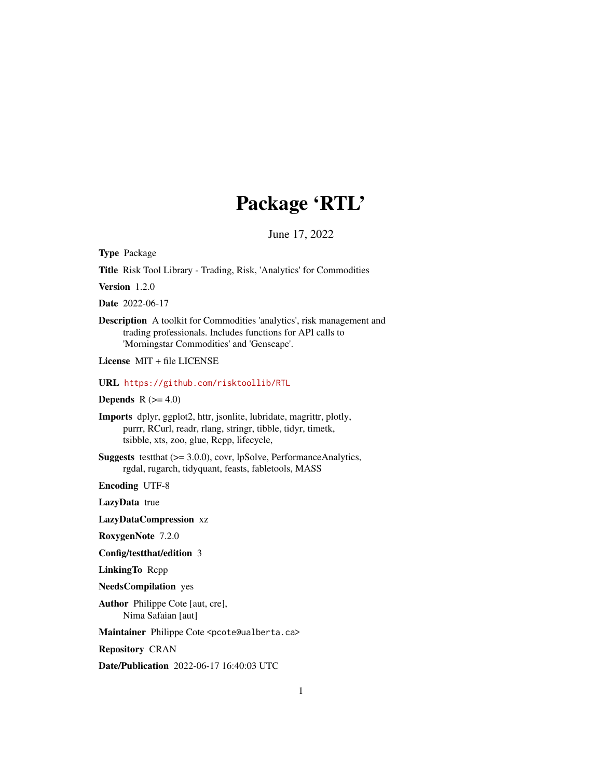# Package 'RTL'

June 17, 2022

Type Package

Title Risk Tool Library - Trading, Risk, 'Analytics' for Commodities

Version 1.2.0

Date 2022-06-17

Description A toolkit for Commodities 'analytics', risk management and trading professionals. Includes functions for API calls to 'Morningstar Commodities' and 'Genscape'.

License MIT + file LICENSE

URL <https://github.com/risktoollib/RTL>

Depends  $R$  ( $>= 4.0$ )

Imports dplyr, ggplot2, httr, jsonlite, lubridate, magrittr, plotly, purrr, RCurl, readr, rlang, stringr, tibble, tidyr, timetk, tsibble, xts, zoo, glue, Rcpp, lifecycle,

Suggests testthat (>= 3.0.0), covr, lpSolve, PerformanceAnalytics, rgdal, rugarch, tidyquant, feasts, fabletools, MASS

Encoding UTF-8

LazyData true

LazyDataCompression xz

RoxygenNote 7.2.0

Config/testthat/edition 3

LinkingTo Rcpp

NeedsCompilation yes

Author Philippe Cote [aut, cre], Nima Safaian [aut]

Maintainer Philippe Cote <pcote@ualberta.ca>

Repository CRAN

Date/Publication 2022-06-17 16:40:03 UTC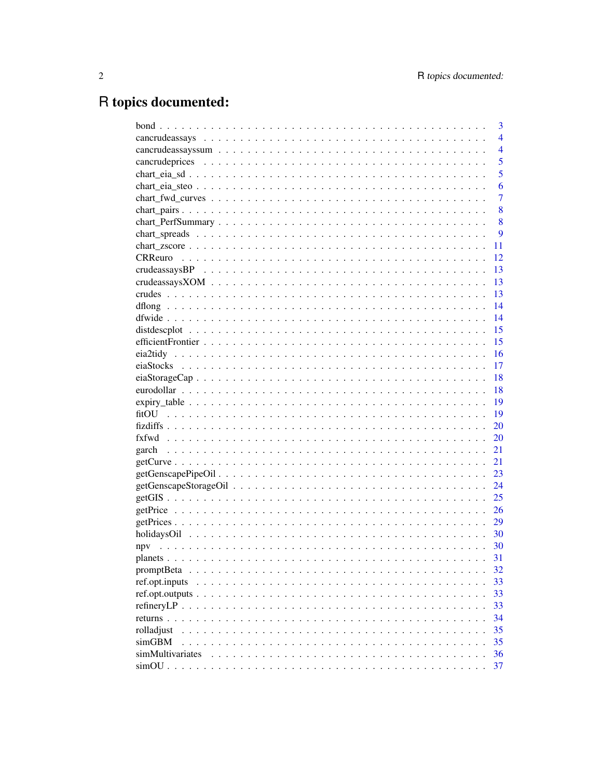## R topics documented:

|                   | 3              |
|-------------------|----------------|
|                   | $\overline{4}$ |
|                   | $\overline{4}$ |
|                   | 5              |
|                   | 5              |
|                   | 6              |
|                   | 7              |
|                   | 8              |
|                   | 8              |
|                   | 9              |
|                   | 11             |
| <b>CRReuro</b>    | 12             |
|                   | 13             |
|                   | 13             |
|                   | 13             |
|                   | 14             |
|                   | 14             |
|                   | 15             |
|                   | 15             |
|                   | 16             |
|                   | 17             |
|                   | 18             |
|                   | 18             |
|                   | 19             |
| fitO <sub>U</sub> | 19             |
|                   | 20             |
|                   | 20             |
|                   | 21             |
|                   | 21             |
|                   | 23             |
|                   | 24             |
|                   | 25             |
|                   | 26             |
|                   | 29             |
|                   | 30             |
|                   |                |
| npv               | -30            |
|                   | 31             |
| promptBeta        | 32             |
| ref.opt.inputs    | 33             |
|                   | 33             |
|                   | 33             |
| returns $\ldots$  | 34             |
| rolladjust        | 35             |
| simGBM            | 35             |
| simMultivariates  | 36             |
|                   | 37             |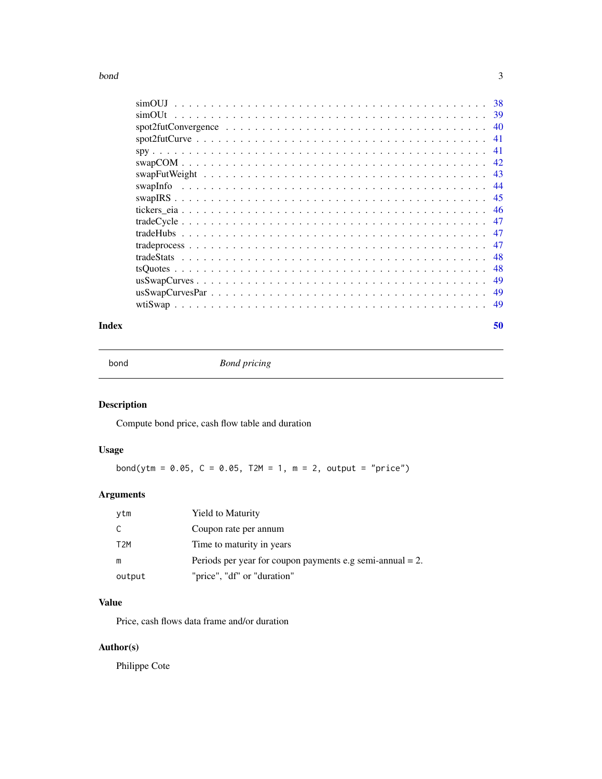#### <span id="page-2-0"></span> $\delta$  bond  $\delta$  3

| simOUJ                                                                                                           |     |
|------------------------------------------------------------------------------------------------------------------|-----|
| simOUt                                                                                                           | 39  |
| $spot2futConvergence \ldots \ldots \ldots \ldots \ldots \ldots \ldots \ldots \ldots \ldots \ldots \ldots \ldots$ | 40  |
|                                                                                                                  | 41  |
|                                                                                                                  | 41  |
|                                                                                                                  | -42 |
|                                                                                                                  | -43 |
| swapInfo                                                                                                         | -44 |
|                                                                                                                  | -45 |
|                                                                                                                  | 46  |
|                                                                                                                  | 47  |
|                                                                                                                  | 47  |
|                                                                                                                  | 47  |
|                                                                                                                  | -48 |
|                                                                                                                  | 48  |
|                                                                                                                  | 49  |
|                                                                                                                  | 49  |
|                                                                                                                  | -49 |
|                                                                                                                  |     |

#### $\blacksquare$  Index  $\blacksquare$

bond *Bond pricing*

## Description

Compute bond price, cash flow table and duration

## Usage

bond(ytm =  $0.05$ ,  $C = 0.05$ ,  $T2M = 1$ ,  $m = 2$ , output = "price")

## Arguments

| ytm              | <b>Yield to Maturity</b>                                     |
|------------------|--------------------------------------------------------------|
|                  | Coupon rate per annum                                        |
| T <sub>2</sub> M | Time to maturity in years                                    |
| m                | Periods per year for coupon payments e.g semi-annual $= 2$ . |
| output           | "price", "df" or "duration"                                  |

## Value

Price, cash flows data frame and/or duration

## Author(s)

Philippe Cote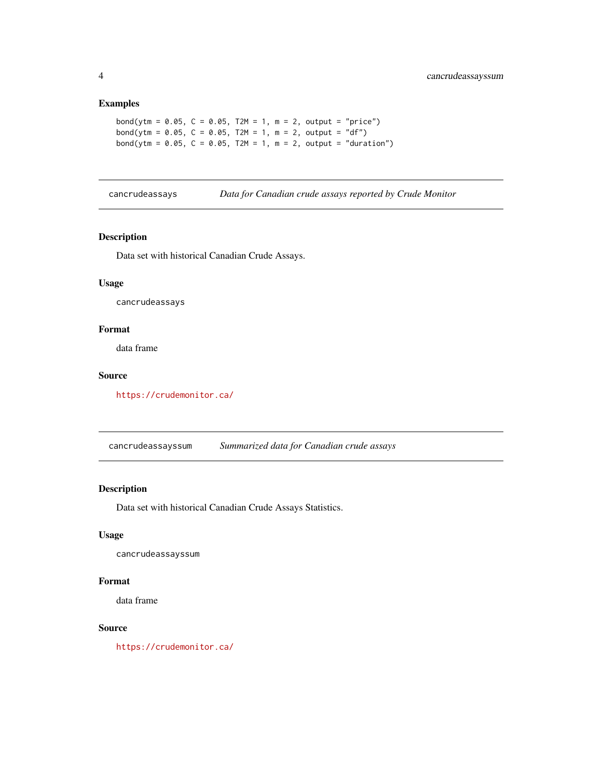## <span id="page-3-0"></span>Examples

```
bond(ytm = 0.05, C = 0.05, T2M = 1, m = 2, output = "price")
bond(ytm = 0.05, C = 0.05, T2M = 1, m = 2, output = "df")
bond(ytm = 0.05, C = 0.05, T2M = 1, m = 2, output = "duration")
```
cancrudeassays *Data for Canadian crude assays reported by Crude Monitor*

## Description

Data set with historical Canadian Crude Assays.

#### Usage

cancrudeassays

#### Format

data frame

#### Source

<https://crudemonitor.ca/>

cancrudeassayssum *Summarized data for Canadian crude assays*

#### Description

Data set with historical Canadian Crude Assays Statistics.

## Usage

cancrudeassayssum

## Format

data frame

## Source

<https://crudemonitor.ca/>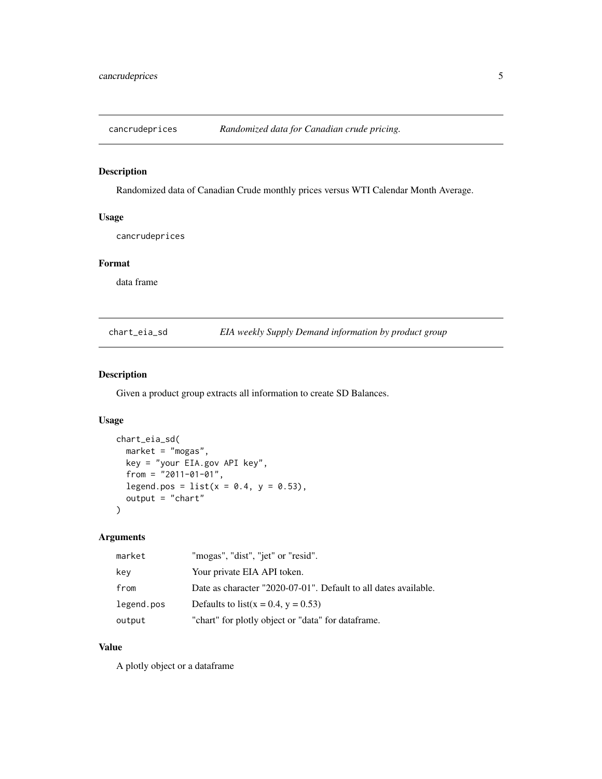<span id="page-4-0"></span>

Randomized data of Canadian Crude monthly prices versus WTI Calendar Month Average.

## Usage

cancrudeprices

#### Format

data frame

chart\_eia\_sd *EIA weekly Supply Demand information by product group*

#### Description

Given a product group extracts all information to create SD Balances.

#### Usage

```
chart_eia_sd(
 market = "mogas",
 key = "your EIA.gov API key",
 from = "2011-01-01",
 legend.pos = list(x = 0.4, y = 0.53),
  output = "chart")
```
## Arguments

| market     | "mogas", "dist", "jet" or "resid".                              |
|------------|-----------------------------------------------------------------|
| kev        | Your private EIA API token.                                     |
| from       | Date as character "2020-07-01". Default to all dates available. |
| legend.pos | Defaults to list( $x = 0.4$ , $y = 0.53$ )                      |
| output     | "chart" for plotly object or "data" for dataframe.              |

## Value

A plotly object or a dataframe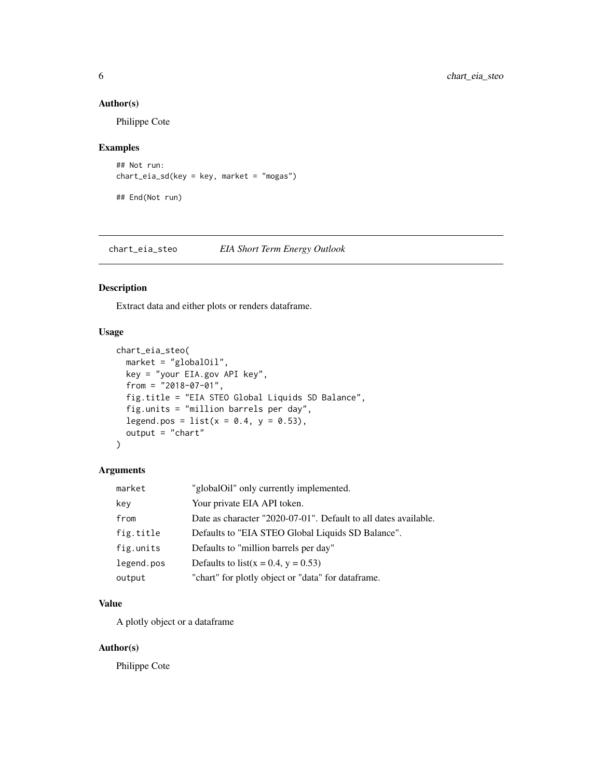## Author(s)

Philippe Cote

## Examples

```
## Not run:
chart_eia_sd(key = key, market = "mogas")
```
## End(Not run)

chart\_eia\_steo *EIA Short Term Energy Outlook*

#### Description

Extract data and either plots or renders dataframe.

## Usage

```
chart_eia_steo(
 market = "globalOil",
 key = "your EIA.gov API key",
  from = "2018-07-01",
 fig.title = "EIA STEO Global Liquids SD Balance",
 fig.units = "million barrels per day",
 legend.pos = list(x = 0.4, y = 0.53),
 output = "chart"
)
```
## Arguments

| market     | "globalOil" only currently implemented.                         |
|------------|-----------------------------------------------------------------|
| key        | Your private EIA API token.                                     |
| from       | Date as character "2020-07-01". Default to all dates available. |
| fig.title  | Defaults to "EIA STEO Global Liquids SD Balance".               |
| fig.units  | Defaults to "million barrels per day"                           |
| legend.pos | Defaults to list( $x = 0.4$ , $y = 0.53$ )                      |
| output     | "chart" for plotly object or "data" for dataframe.              |

## Value

A plotly object or a dataframe

## Author(s)

Philippe Cote

<span id="page-5-0"></span>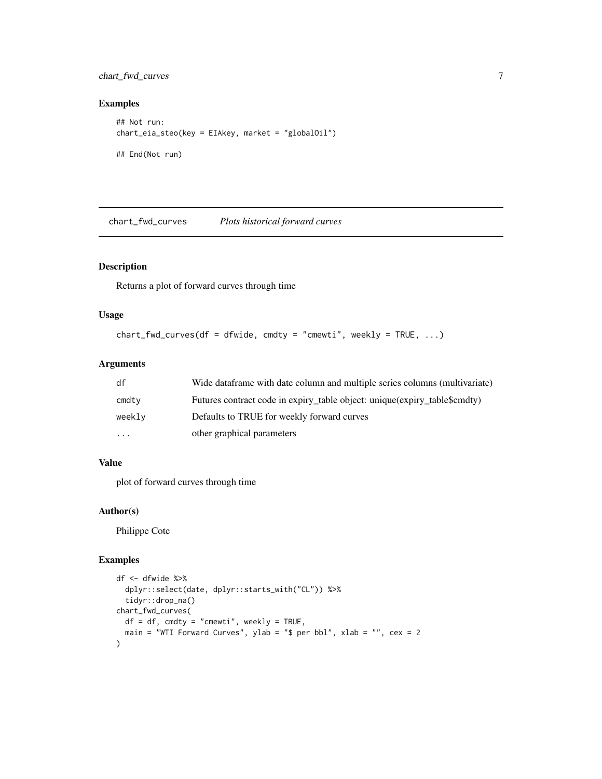## <span id="page-6-0"></span>chart\_fwd\_curves 7

## Examples

```
## Not run:
chart_eia_steo(key = EIAkey, market = "globalOil")
## End(Not run)
```
chart\_fwd\_curves *Plots historical forward curves*

## Description

Returns a plot of forward curves through time

#### Usage

```
chart_fwd_curves(df = dfwide, cmdty = "cmewti", weekly = TRUE, ...)
```
## Arguments

| df     | Wide data frame with date column and multiple series columns (multivariate) |
|--------|-----------------------------------------------------------------------------|
| cmdty  | Futures contract code in expiry_table object: unique(expiry_table\$cmdty)   |
| weekly | Defaults to TRUE for weekly forward curves                                  |
| .      | other graphical parameters                                                  |

## Value

plot of forward curves through time

#### Author(s)

Philippe Cote

#### Examples

```
df <- dfwide %>%
  dplyr::select(date, dplyr::starts_with("CL")) %>%
  tidyr::drop_na()
chart_fwd_curves(
  df = df, cmdty = "cmewti", weekly = TRUE,
  main = "WTI Forward Curves", ylab = "$ per bbl", xlab = "", cex = 2
)
```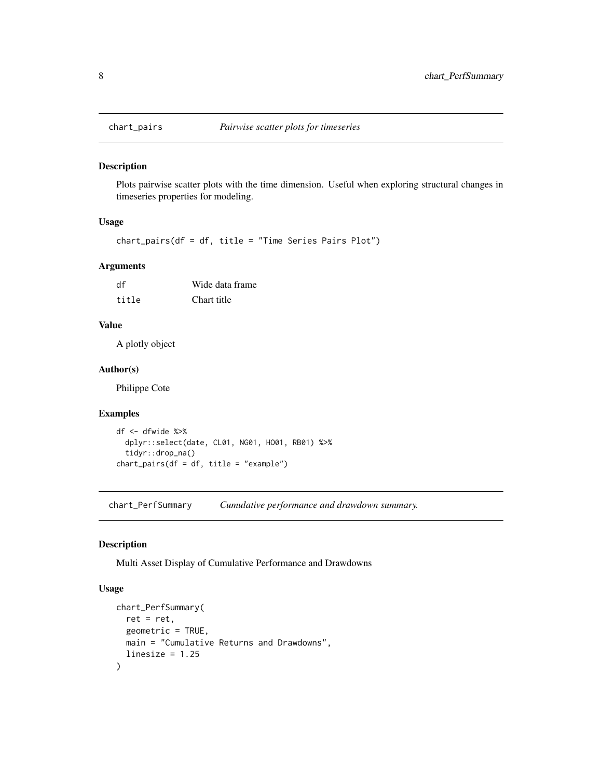<span id="page-7-0"></span>

Plots pairwise scatter plots with the time dimension. Useful when exploring structural changes in timeseries properties for modeling.

## Usage

chart\_pairs(df = df, title = "Time Series Pairs Plot")

#### Arguments

| df    | Wide data frame |
|-------|-----------------|
| title | Chart title     |

## Value

A plotly object

## Author(s)

Philippe Cote

## Examples

```
df <- dfwide %>%
  dplyr::select(date, CL01, NG01, HO01, RB01) %>%
  tidyr::drop_na()
chart_pairs(df = df, title = "example")
```
chart\_PerfSummary *Cumulative performance and drawdown summary.*

#### Description

Multi Asset Display of Cumulative Performance and Drawdowns

#### Usage

```
chart_PerfSummary(
 ret = ret,geometric = TRUE,
 main = "Cumulative Returns and Drawdowns",
  linesize = 1.25\mathcal{E}
```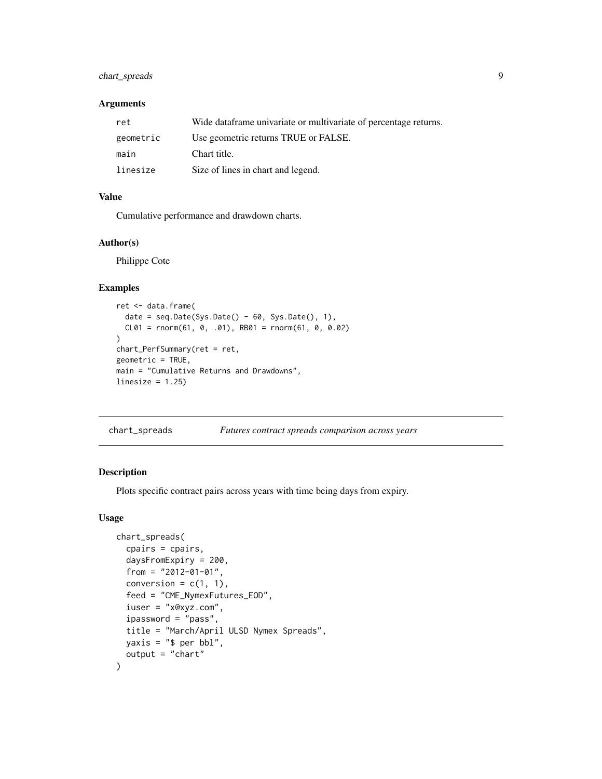## <span id="page-8-0"></span>chart\_spreads 9

## Arguments

| ret       | Wide dataframe univariate or multivariate of percentage returns. |
|-----------|------------------------------------------------------------------|
| geometric | Use geometric returns TRUE or FALSE.                             |
| main      | Chart title.                                                     |
| linesize  | Size of lines in chart and legend.                               |

#### Value

Cumulative performance and drawdown charts.

#### Author(s)

Philippe Cote

#### Examples

```
ret <- data.frame(
  date = seq.Date(Sys.Date() - 60, Sys.Date(), 1),
  CL01 = rnorm(61, 0, .01), RB01 = rnorm(61, 0, 0.02))
chart_PerfSummary(ret = ret,
geometric = TRUE,
main = "Cumulative Returns and Drawdowns",
linesize = 1.25
```

| chart_spreads | Futures contract spreads comparison across years |
|---------------|--------------------------------------------------|
|               |                                                  |

## Description

Plots specific contract pairs across years with time being days from expiry.

#### Usage

```
chart_spreads(
 cpairs = cpairs,
  daysFromExpiry = 200,
  from = "2012-01-01",
  conversion = c(1, 1),
  feed = "CME_NymexFutures_EOD",
  iuser = "x@xyz.com",
  ipassword = "pass",
 title = "March/April ULSD Nymex Spreads",
 yaxis = "$ per bbl",
  output = "chart")
```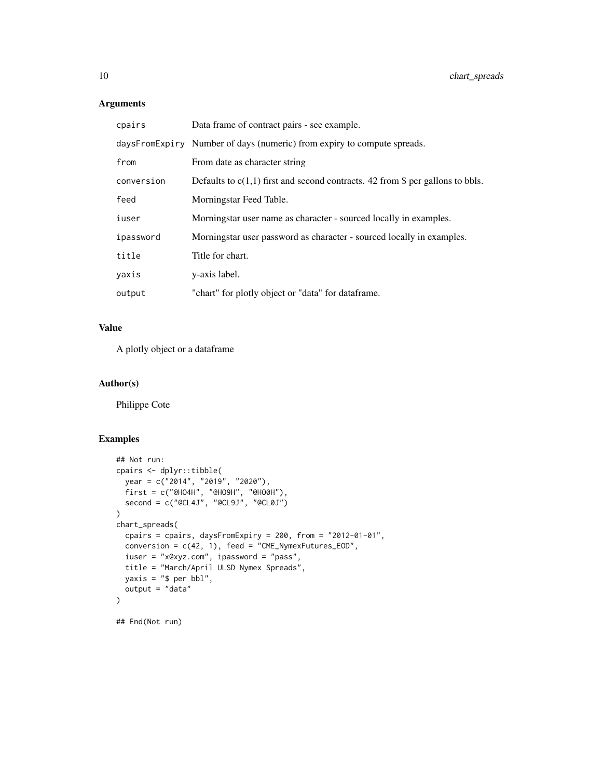## Arguments

| cpairs     | Data frame of contract pairs - see example.                                      |
|------------|----------------------------------------------------------------------------------|
|            | daysFromExpiry Number of days (numeric) from expiry to compute spreads.          |
| from       | From date as character string                                                    |
| conversion | Defaults to $c(1,1)$ first and second contracts. 42 from \$ per gallons to bbls. |
| feed       | Morningstar Feed Table.                                                          |
| iuser      | Morningstar user name as character - sourced locally in examples.                |
| ipassword  | Morningstar user password as character - sourced locally in examples.            |
| title      | Title for chart.                                                                 |
| yaxis      | y-axis label.                                                                    |
| output     | "chart" for plotly object or "data" for dataframe.                               |

## Value

A plotly object or a dataframe

## Author(s)

Philippe Cote

## Examples

```
## Not run:
cpairs <- dplyr::tibble(
  year = c("2014", "2019", "2020"),
  first = c("@HO4H", "@HO9H", "@HO0H"),
  second = c("@CL4J", "@CL9J", "@CL0J")
\overline{\phantom{a}}chart_spreads(
  cpairs = cpairs, daysFromExpiry = 200, from = "2012-01-01",
  conversion = c(42, 1), feed = "CME_NymexFutures_EOD",
 iuser = "x@xyz.com", ipassword = "pass",
 title = "March/April ULSD Nymex Spreads",
 yaxis = "$ per bbl",
  output = "data"
\lambda
```
## End(Not run)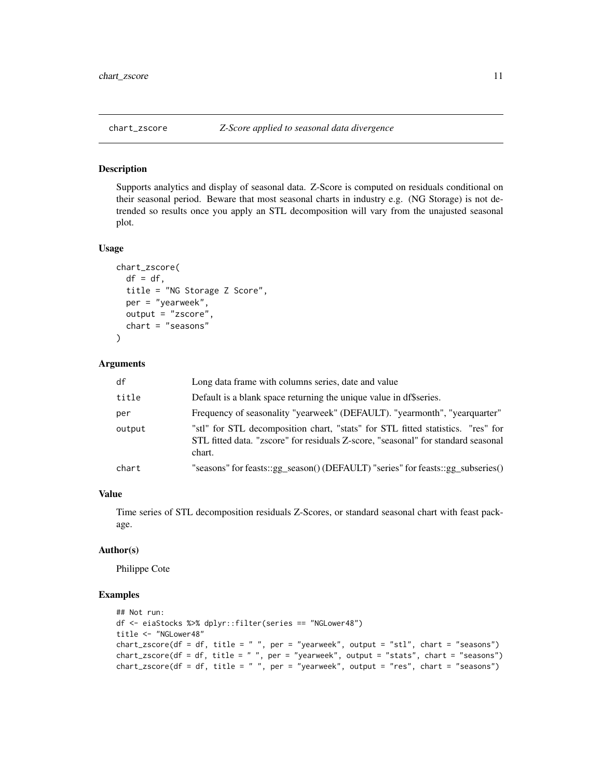<span id="page-10-0"></span>Supports analytics and display of seasonal data. Z-Score is computed on residuals conditional on their seasonal period. Beware that most seasonal charts in industry e.g. (NG Storage) is not detrended so results once you apply an STL decomposition will vary from the unajusted seasonal plot.

#### Usage

```
chart_zscore(
  df = df,
  title = "NG Storage Z Score",
  per = "yearweek",
  output = "zscore",
  chart = "seasons")
```
#### Arguments

| df     | Long data frame with columns series, date and value                                                                                                                            |
|--------|--------------------------------------------------------------------------------------------------------------------------------------------------------------------------------|
| title  | Default is a blank space returning the unique value in df\$series.                                                                                                             |
| per    | Frequency of seasonality "yearweek" (DEFAULT). "yearmonth", "yearquarter"                                                                                                      |
| output | "stl" for STL decomposition chart, "stats" for STL fitted statistics. "res" for<br>STL fitted data. "zscore" for residuals Z-score, "seasonal" for standard seasonal<br>chart. |
| chart  | "seasons" for feasts::gg_season() (DEFAULT) "series" for feasts::gg_subseries()                                                                                                |

#### Value

Time series of STL decomposition residuals Z-Scores, or standard seasonal chart with feast package.

#### Author(s)

Philippe Cote

#### Examples

```
## Not run:
df <- eiaStocks %>% dplyr::filter(series == "NGLower48")
title <- "NGLower48"
chart_zscore(df = df, title = " ", per = "yearweek", output = "stl", chart = "seasons")
chart_zscore(df = df, title = " ", per = "yearweek", output = "stats", chart = "seasons")
chart\_zscore(df = df, title = "", per = "yearweek", output = "res", chart = "seasons")
```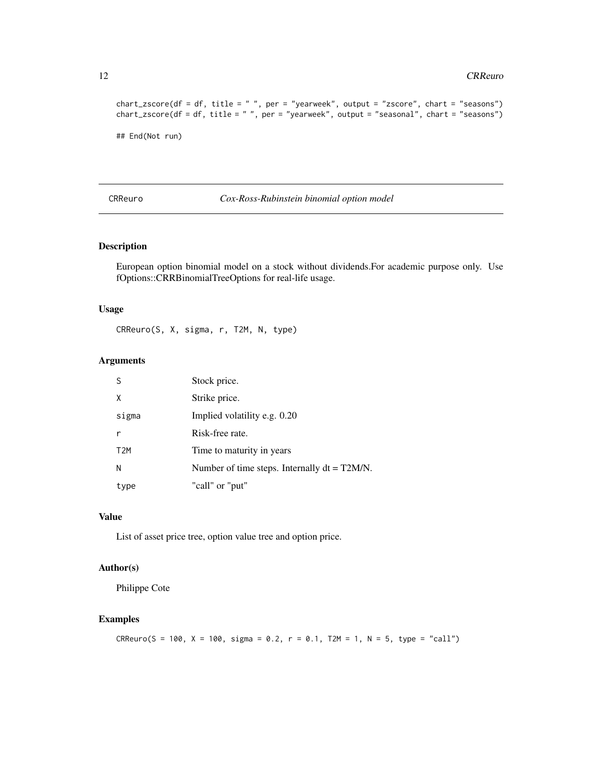```
chart_zscore(df = df, title = " ", per = "yearweek", output = "zscore", chart = "seasons")
chart_zscore(df = df, title = " ", per = "yearweek", output = "seasonal", chart = "seasons")
## End(Not run)
```
CRReuro *Cox-Ross-Rubinstein binomial option model*

## Description

European option binomial model on a stock without dividends.For academic purpose only. Use fOptions::CRRBinomialTreeOptions for real-life usage.

#### Usage

CRReuro(S, X, sigma, r, T2M, N, type)

#### Arguments

|                  | Stock price.                                    |
|------------------|-------------------------------------------------|
| x                | Strike price.                                   |
| sigma            | Implied volatility e.g. 0.20                    |
|                  | Risk-free rate.                                 |
| T <sub>2</sub> M | Time to maturity in years                       |
| N                | Number of time steps. Internally $dt = T2M/N$ . |
| type             | "call" or "put"                                 |

#### Value

List of asset price tree, option value tree and option price.

## Author(s)

Philippe Cote

## Examples

 $CRReuro(S = 100, X = 100, sigma = 0.2, r = 0.1, T2M = 1, N = 5, type = "call")$ 

<span id="page-11-0"></span>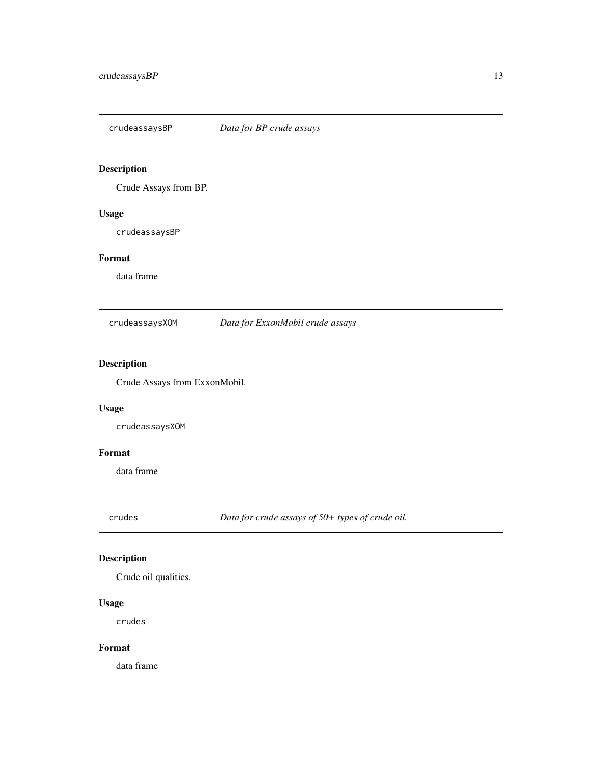<span id="page-12-0"></span>

Crude Assays from BP.

## Usage

crudeassaysBP

## Format

data frame

crudeassaysXOM *Data for ExxonMobil crude assays*

## Description

Crude Assays from ExxonMobil.

## Usage

crudeassaysXOM

#### Format

data frame

crudes *Data for crude assays of 50+ types of crude oil.*

## Description

Crude oil qualities.

## Usage

crudes

## Format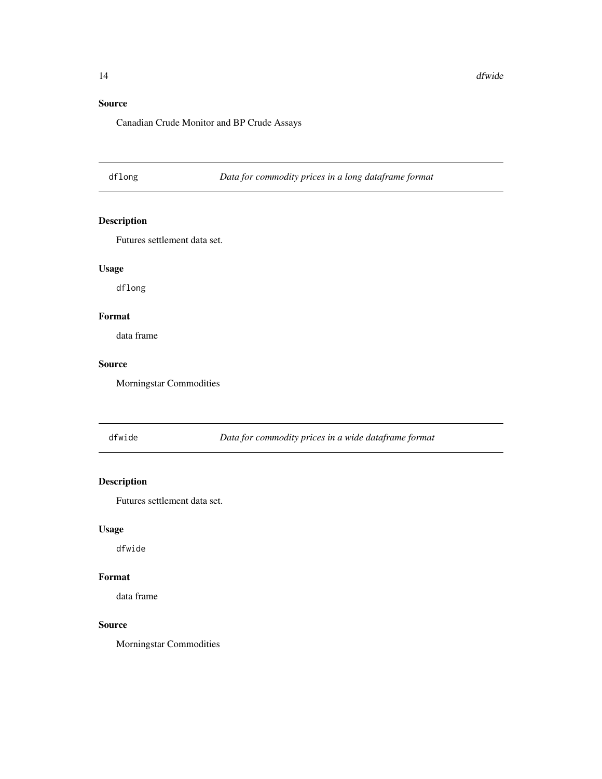## <span id="page-13-0"></span>Source

Canadian Crude Monitor and BP Crude Assays

dflong *Data for commodity prices in a long dataframe format*

## Description

Futures settlement data set.

## Usage

dflong

## Format

data frame

## Source

Morningstar Commodities

dfwide *Data for commodity prices in a wide dataframe format*

## Description

Futures settlement data set.

#### Usage

dfwide

#### Format

data frame

#### Source

Morningstar Commodities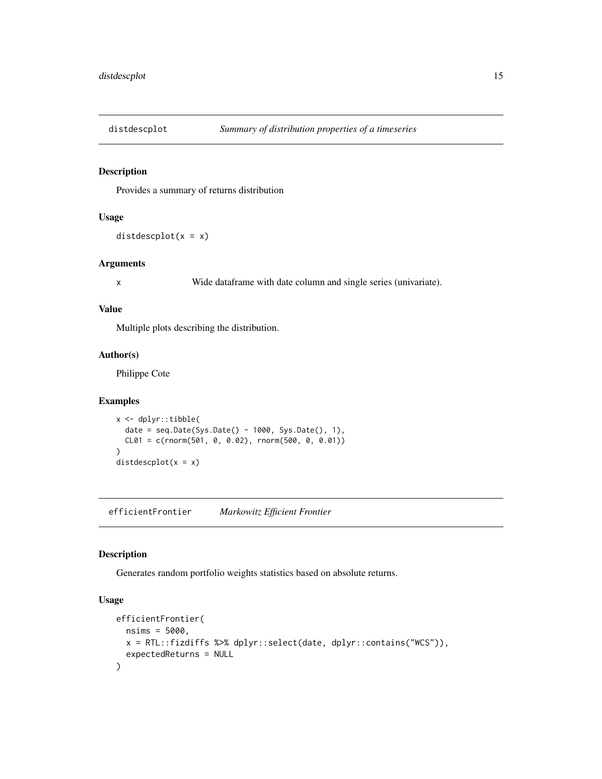<span id="page-14-0"></span>

Provides a summary of returns distribution

## Usage

distdescplot $(x = x)$ 

#### Arguments

x Wide dataframe with date column and single series (univariate).

#### Value

Multiple plots describing the distribution.

#### Author(s)

Philippe Cote

## Examples

```
x <- dplyr::tibble(
  date = seq.Date(Sys.Date() - 1000, Sys.Date(), 1),
  CL01 = c(rnorm(501, 0, 0.02), rnorm(500, 0, 0.01)))
distdescplot(x = x)
```
efficientFrontier *Markowitz Efficient Frontier*

## Description

Generates random portfolio weights statistics based on absolute returns.

## Usage

```
efficientFrontier(
 nsims = 5000,
 x = RTL::fizdiffs %>% dplyr::select(date, dplyr::contains("WCS")),
  expectedReturns = NULL
\mathcal{E}
```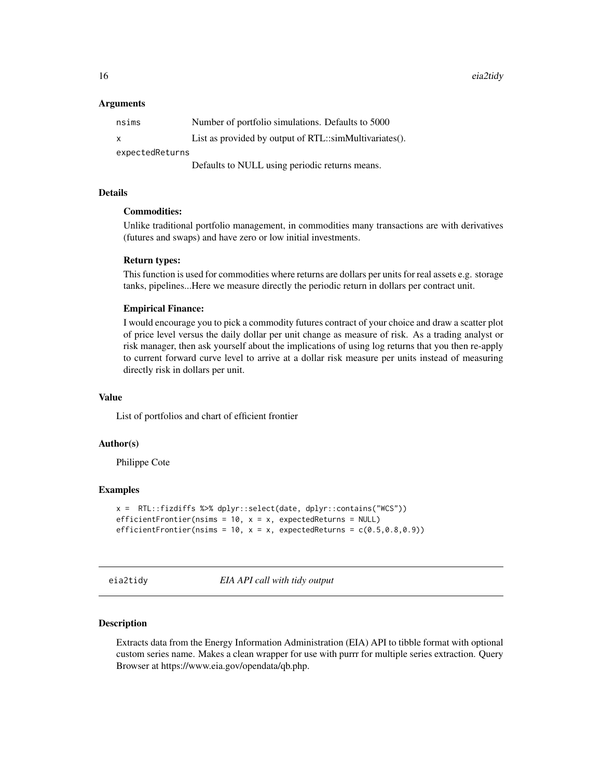<span id="page-15-0"></span>16 eia2tidy eia2tidy eia2tidy eia2tidy eia2tidy eia2tidy eia2tidy eia2tidy eia2tidy eia2tidy eia2tidy eia2tidy

#### **Arguments**

| nsims           | Number of portfolio simulations. Defaults to 5000      |  |
|-----------------|--------------------------------------------------------|--|
| X               | List as provided by output of RTL::simMultivariates(). |  |
| expectedReturns |                                                        |  |
|                 | Defaults to NULL using periodic returns means.         |  |

#### Details

## Commodities:

Unlike traditional portfolio management, in commodities many transactions are with derivatives (futures and swaps) and have zero or low initial investments.

#### Return types:

This function is used for commodities where returns are dollars per units for real assets e.g. storage tanks, pipelines...Here we measure directly the periodic return in dollars per contract unit.

#### Empirical Finance:

I would encourage you to pick a commodity futures contract of your choice and draw a scatter plot of price level versus the daily dollar per unit change as measure of risk. As a trading analyst or risk manager, then ask yourself about the implications of using log returns that you then re-apply to current forward curve level to arrive at a dollar risk measure per units instead of measuring directly risk in dollars per unit.

#### Value

List of portfolios and chart of efficient frontier

#### Author(s)

Philippe Cote

#### Examples

```
x = RTL::fizdiffs %>% dplyr::select(date, dplyr::contains("WCS"))
efficientFrontier(nsims = 10, x = x, expectedReturns = NULL)
efficientFrontier(nsims = 10, x = x, expectedReturns = c(0.5, 0.8, 0.9))
```
eia2tidy *EIA API call with tidy output*

## Description

Extracts data from the Energy Information Administration (EIA) API to tibble format with optional custom series name. Makes a clean wrapper for use with purrr for multiple series extraction. Query Browser at https://www.eia.gov/opendata/qb.php.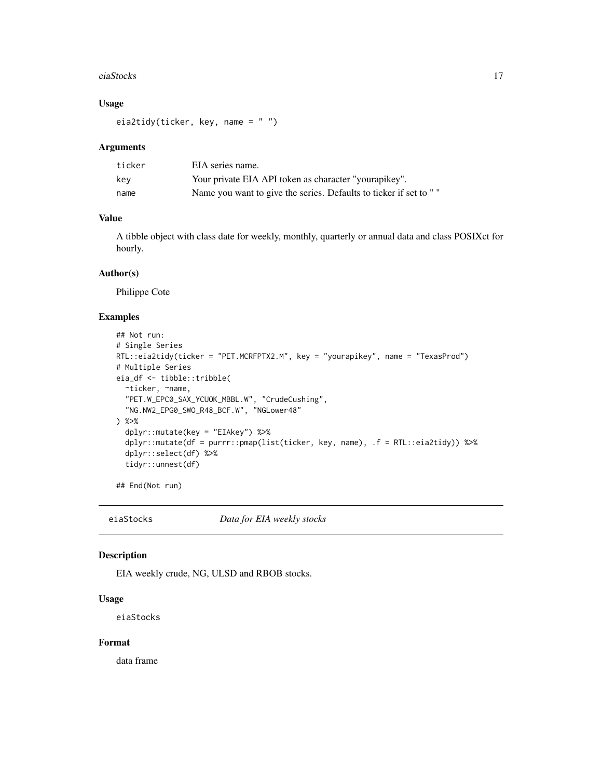#### <span id="page-16-0"></span>eiaStocks 17

## Usage

```
eia2tidy(ticker, key, name = " ")
```
#### Arguments

| ticker | EIA series name.                                                 |
|--------|------------------------------------------------------------------|
| kev    | Your private EIA API token as character "yourapikey".            |
| name   | Name you want to give the series. Defaults to ticker if set to " |

## Value

A tibble object with class date for weekly, monthly, quarterly or annual data and class POSIXct for hourly.

#### Author(s)

Philippe Cote

#### Examples

```
## Not run:
# Single Series
RTL::eia2tidy(ticker = "PET.MCRFPTX2.M", key = "yourapikey", name = "TexasProd")
# Multiple Series
eia_df <- tibble::tribble(
  ~ticker, ~name,
  "PET.W_EPC0_SAX_YCUOK_MBBL.W", "CrudeCushing",
  "NG.NW2_EPG0_SWO_R48_BCF.W", "NGLower48"
) %>%
  dplyr::mutate(key = "EIAkey") %>%
  dplyr::mutate(df = purrr::pmap(list(ticker, key, name), .f = RTL::eia2tidy)) %>%
  dplyr::select(df) %>%
  tidyr::unnest(df)
```
## End(Not run)

eiaStocks *Data for EIA weekly stocks*

#### Description

EIA weekly crude, NG, ULSD and RBOB stocks.

#### Usage

eiaStocks

#### Format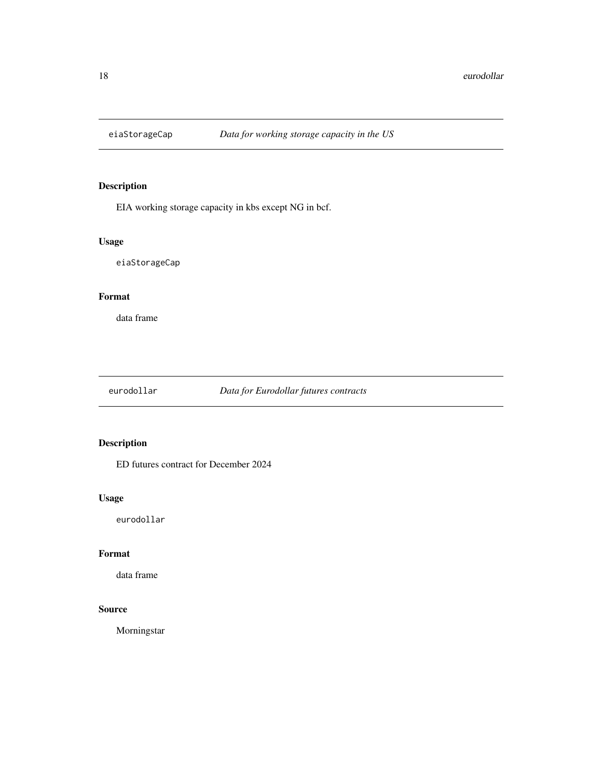<span id="page-17-0"></span>

EIA working storage capacity in kbs except NG in bcf.

## Usage

eiaStorageCap

#### Format

data frame

eurodollar *Data for Eurodollar futures contracts*

## Description

ED futures contract for December 2024

## Usage

eurodollar

## Format

data frame

## Source

Morningstar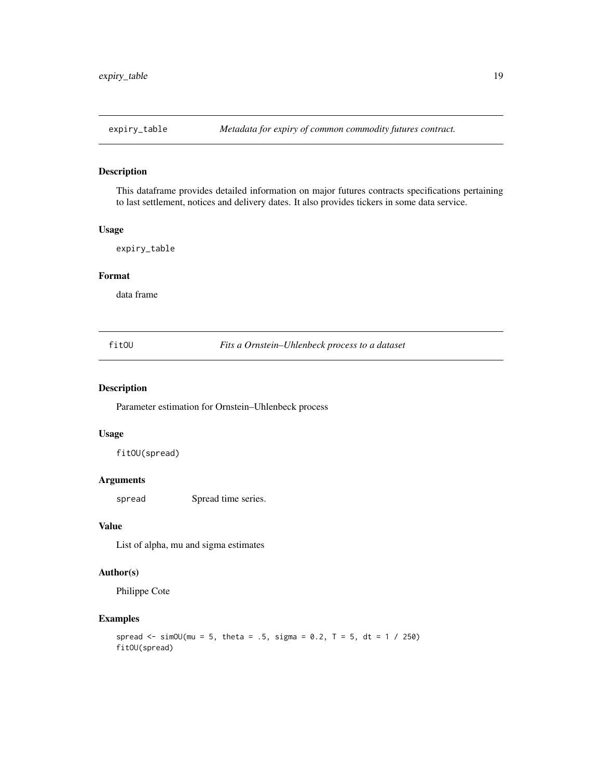<span id="page-18-0"></span>

This dataframe provides detailed information on major futures contracts specifications pertaining to last settlement, notices and delivery dates. It also provides tickers in some data service.

#### Usage

expiry\_table

## Format

data frame

fitOU *Fits a Ornstein–Uhlenbeck process to a dataset*

## Description

Parameter estimation for Ornstein–Uhlenbeck process

## Usage

fitOU(spread)

#### Arguments

spread Spread time series.

## Value

List of alpha, mu and sigma estimates

#### Author(s)

Philippe Cote

## Examples

```
spread \le simOU(mu = 5, theta = .5, sigma = 0.2, T = 5, dt = 1 / 250)
fitOU(spread)
```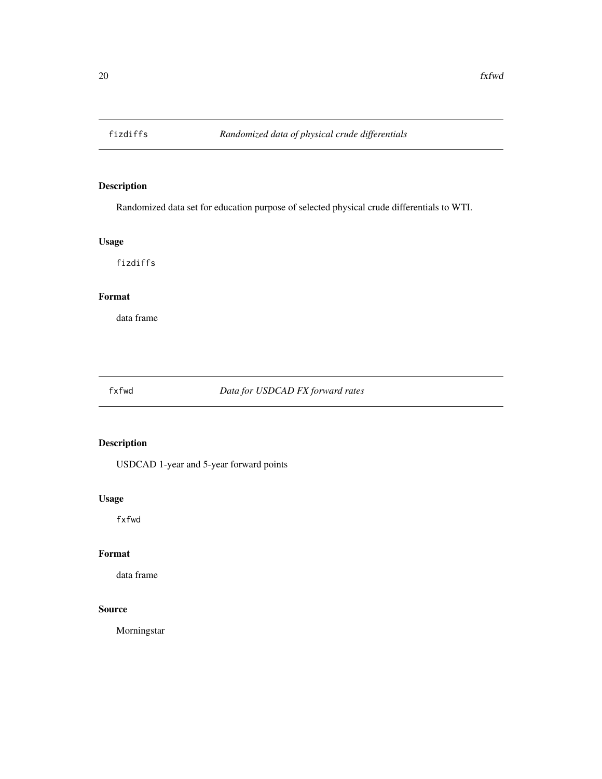<span id="page-19-0"></span>

Randomized data set for education purpose of selected physical crude differentials to WTI.

## Usage

fizdiffs

## Format

data frame

fxfwd *Data for USDCAD FX forward rates*

## Description

USDCAD 1-year and 5-year forward points

## Usage

fxfwd

## Format

data frame

## Source

Morningstar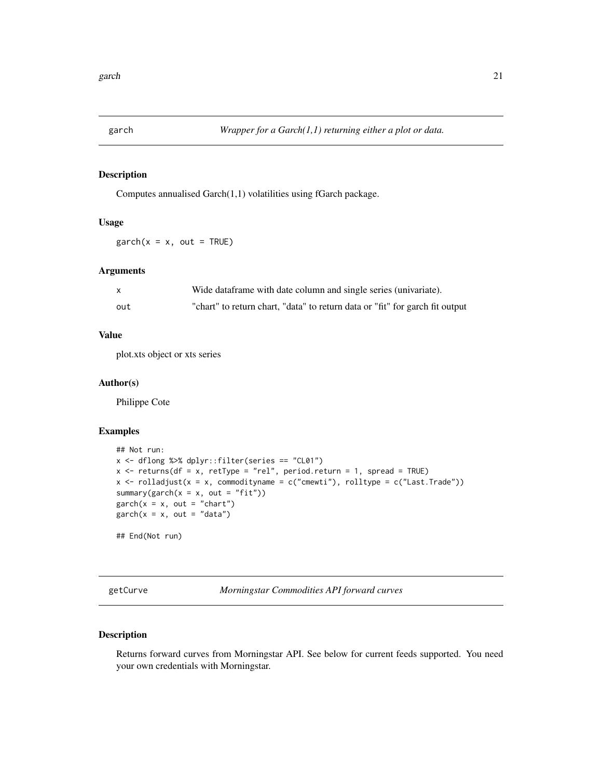<span id="page-20-0"></span>

Computes annualised Garch(1,1) volatilities using fGarch package.

#### Usage

 $garch(x = x, out = TRUE)$ 

## Arguments

|     | Wide dataframe with date column and single series (univariate).              |
|-----|------------------------------------------------------------------------------|
| out | "chart" to return chart, "data" to return data or "fit" for garch fit output |

## Value

plot.xts object or xts series

#### Author(s)

Philippe Cote

#### Examples

```
## Not run:
x <- dflong %>% dplyr::filter(series == "CL01")
x \le returns(df = x, retType = "rel", period.return = 1, spread = TRUE)
x \leftarrow \text{rolladjust}(x = x, \text{ commonityname} = c("cnewti"), \text{rolltype} = c("Last.Trade"))summary(garch(x = x, out = "fit"))
garch(x = x, out = "chart")garch(x = x, out = "data")## End(Not run)
```
getCurve *Morningstar Commodities API forward curves*

## Description

Returns forward curves from Morningstar API. See below for current feeds supported. You need your own credentials with Morningstar.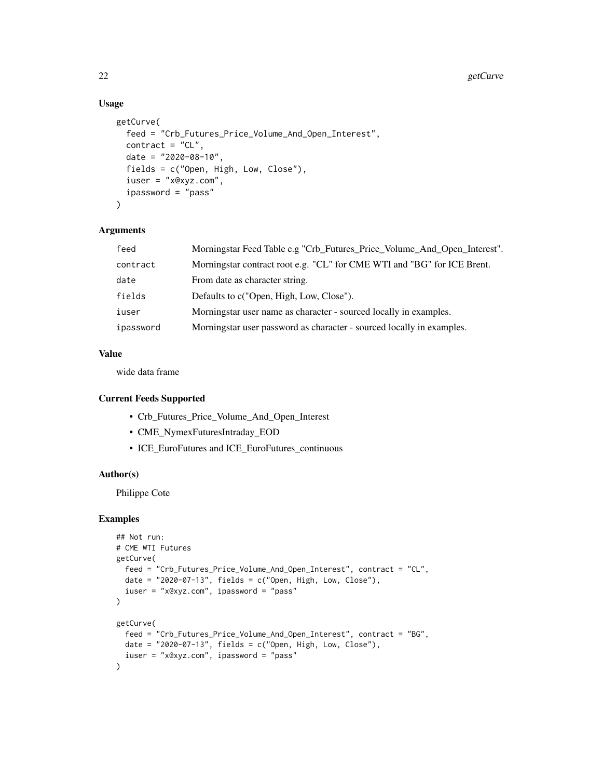## Usage

```
getCurve(
  feed = "Crb_Futures_Price_Volume_And_Open_Interest",
  contract = "CL",date = "2020-08-10",
  fields = c("Open, High, Low, Close"),
  iuser = "x@xyz.com",
  ipassword = "pass"
\lambda
```
#### Arguments

| feed      | Morningstar Feed Table e.g "Crb_Futures_Price_Volume_And_Open_Interest". |
|-----------|--------------------------------------------------------------------------|
| contract  | Morningstar contract root e.g. "CL" for CME WTI and "BG" for ICE Brent.  |
| date      | From date as character string.                                           |
| fields    | Defaults to c("Open, High, Low, Close").                                 |
| iuser     | Morningstar user name as character - sourced locally in examples.        |
| ipassword | Morningstar user password as character - sourced locally in examples.    |

## Value

wide data frame

#### Current Feeds Supported

- Crb\_Futures\_Price\_Volume\_And\_Open\_Interest
- CME\_NymexFuturesIntraday\_EOD
- ICE\_EuroFutures and ICE\_EuroFutures\_continuous

#### Author(s)

Philippe Cote

## Examples

```
## Not run:
# CME WTI Futures
getCurve(
  feed = "Crb_Futures_Price_Volume_And_Open_Interest", contract = "CL",
 date = "2020-07-13", fields = c("Open, High, Low, Close"),
  iuser = "x@xyz.com", ipassword = "pass"
\mathcal{L}getCurve(
  feed = "Crb_Futures_Price_Volume_And_Open_Interest", contract = "BG",
 date = "2020-07-13", fields = c("Open, High, Low, Close"),
  iuser = "x@xyz.com", ipassword = "pass"
)
```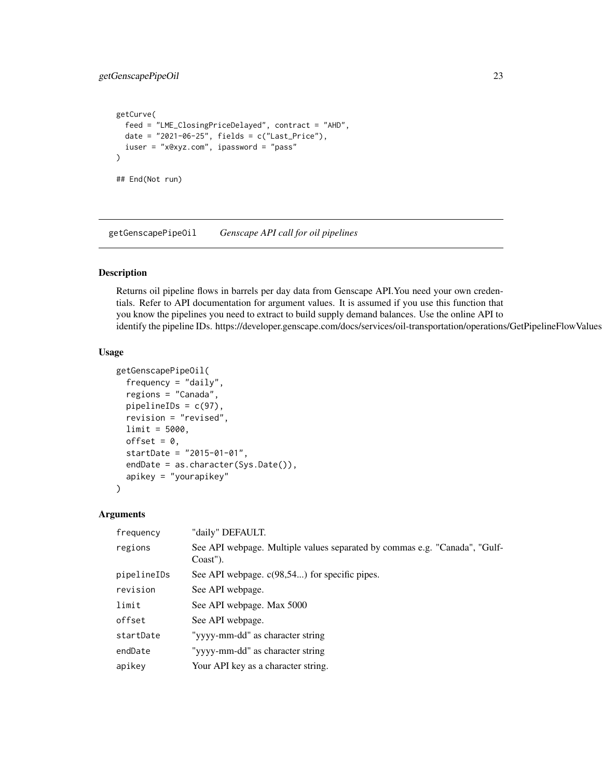```
getCurve(
  feed = "LME_ClosingPriceDelayed", contract = "AHD",
  date = "2021-06-25", fields = c("Last_Price"),
  iuser = "x@xyz.com", ipassword = "pass"
)
## End(Not run)
```
getGenscapePipeOil *Genscape API call for oil pipelines*

#### Description

Returns oil pipeline flows in barrels per day data from Genscape API.You need your own credentials. Refer to API documentation for argument values. It is assumed if you use this function that you know the pipelines you need to extract to build supply demand balances. Use the online API to identify the pipeline IDs. https://developer.genscape.com/docs/services/oil-transportation/operations/GetPipelineFlowValues

#### Usage

```
getGenscapePipeOil(
  frequency = "daily",
  regions = "Canada",
  pipelineIDs = c(97),
  revision = "revised",
  limit = 5000,
  offset = 0.
  startDate = "2015-01-01",
  endDate = as.character(Sys.Date()),
  apikey = "yourapikey"
)
```
#### Arguments

| frequency   | "daily" DEFAULT.                                                                       |
|-------------|----------------------------------------------------------------------------------------|
| regions     | See API webpage. Multiple values separated by commas e.g. "Canada", "Gulf-<br>Coast"). |
| pipelineIDs | See API webpage. $c(98,54)$ for specific pipes.                                        |
| revision    | See API webpage.                                                                       |
| limit       | See API webpage. Max 5000                                                              |
| offset      | See API webpage.                                                                       |
| startDate   | "yyyy-mm-dd" as character string                                                       |
| endDate     | "yyyy-mm-dd" as character string                                                       |
| apikey      | Your API key as a character string.                                                    |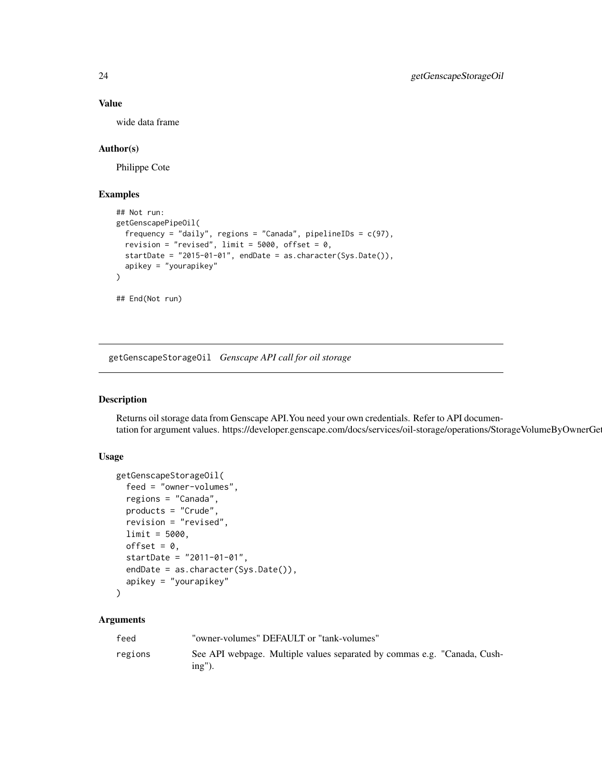#### Value

wide data frame

#### Author(s)

Philippe Cote

## Examples

```
## Not run:
getGenscapePipeOil(
  frequency = "daily", regions = "Canada", pipelineIDs = c(97),revision = "revised", limit = 5000, offset = 0,
  startDate = "2015-01-01", endDate = as.character(Sys.Date()),
  apikey = "yourapikey"
)
## End(Not run)
```
getGenscapeStorageOil *Genscape API call for oil storage*

## Description

Returns oil storage data from Genscape API.You need your own credentials. Refer to API documentation for argument values. https://developer.genscape.com/docs/services/oil-storage/operations/StorageVolumeByOwnerGe

#### Usage

```
getGenscapeStorageOil(
  feed = "owner-volumes",
  regions = "Canada",
 products = "Crude",
  revision = "revised",
  limit = 5000,
 offset = 0,
  startDate = "2011-01-01",
  endDate = as.character(Sys.Date()),
  apikey = "yourapikey"
)
```
#### Arguments

| feed    | "owner-volumes" DEFAULT or "tank-volumes"                                             |
|---------|---------------------------------------------------------------------------------------|
| regions | See API webpage. Multiple values separated by commas e.g. "Canada, Cush-<br>$ing'$ ). |

<span id="page-23-0"></span>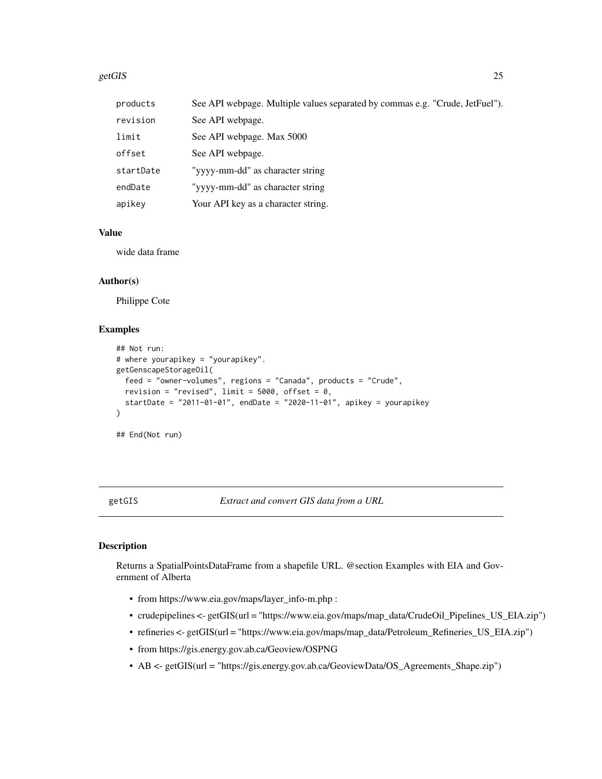#### <span id="page-24-0"></span>getGIS 25

| products  | See API webpage. Multiple values separated by commas e.g. "Crude, JetFuel"). |
|-----------|------------------------------------------------------------------------------|
| revision  | See API webpage.                                                             |
| limit     | See API webpage. Max 5000                                                    |
| offset    | See API webpage.                                                             |
| startDate | "yyyy-mm-dd" as character string                                             |
| endDate   | "yyyy-mm-dd" as character string                                             |
| apikey    | Your API key as a character string.                                          |

## Value

wide data frame

## Author(s)

Philippe Cote

## Examples

```
## Not run:
# where yourapikey = "yourapikey".
getGenscapeStorageOil(
  feed = "owner-volumes", regions = "Canada", products = "Crude",
  revision = "revised", limit = 5000, offset = 0,
  startDate = "2011-01-01", endDate = "2020-11-01", apikey = yourapikey
\lambda
```
## End(Not run)

getGIS *Extract and convert GIS data from a URL*

## Description

Returns a SpatialPointsDataFrame from a shapefile URL. @section Examples with EIA and Government of Alberta

- from https://www.eia.gov/maps/layer\_info-m.php :
- crudepipelines <- getGIS(url = "https://www.eia.gov/maps/map\_data/CrudeOil\_Pipelines\_US\_EIA.zip")
- refineries <- getGIS(url = "https://www.eia.gov/maps/map\_data/Petroleum\_Refineries\_US\_EIA.zip")
- from https://gis.energy.gov.ab.ca/Geoview/OSPNG
- AB <- getGIS(url = "https://gis.energy.gov.ab.ca/GeoviewData/OS\_Agreements\_Shape.zip")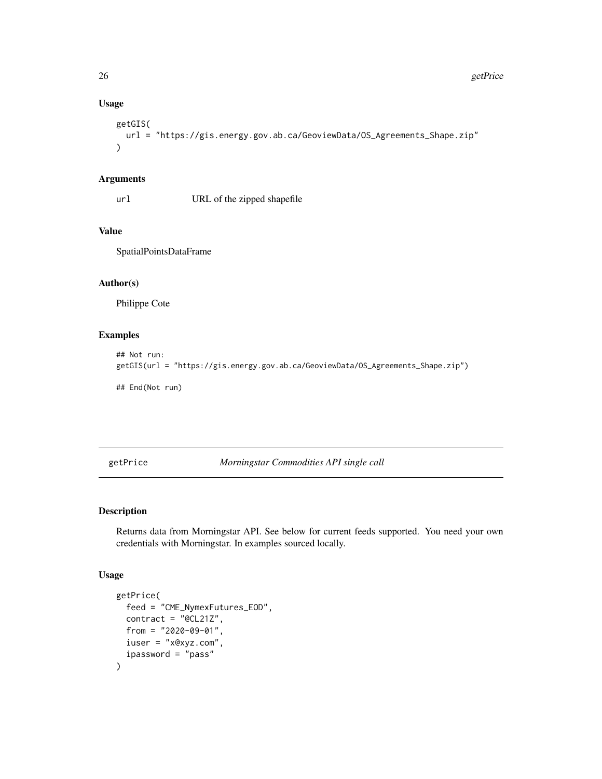## Usage

```
getGIS(
  url = "https://gis.energy.gov.ab.ca/GeoviewData/OS_Agreements_Shape.zip"
\mathcal{L}
```
## Arguments

url URL of the zipped shapefile

## Value

SpatialPointsDataFrame

## Author(s)

Philippe Cote

## Examples

```
## Not run:
getGIS(url = "https://gis.energy.gov.ab.ca/GeoviewData/OS_Agreements_Shape.zip")
## End(Not run)
```
getPrice *Morningstar Commodities API single call*

## Description

Returns data from Morningstar API. See below for current feeds supported. You need your own credentials with Morningstar. In examples sourced locally.

#### Usage

```
getPrice(
  feed = "CME_NymexFutures_EOD",
  contract = "@CL21Z",from = "2020-09-01",
  iuser = "x@xyz.com",
  ipassword = "pass"
\mathcal{E}
```
<span id="page-25-0"></span>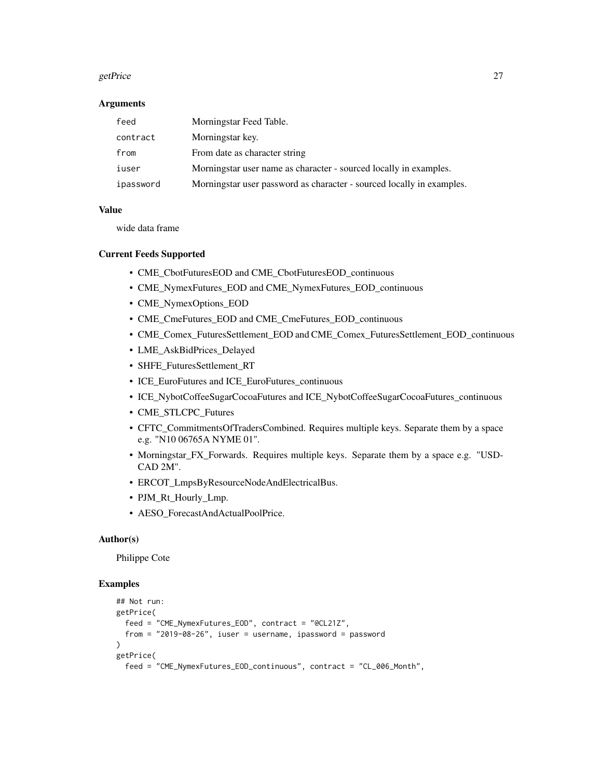#### getPrice 27

#### Arguments

| feed      | Morningstar Feed Table.                                               |
|-----------|-----------------------------------------------------------------------|
| contract  | Morningstar key.                                                      |
| from      | From date as character string                                         |
| iuser     | Morningstar user name as character - sourced locally in examples.     |
| ipassword | Morningstar user password as character - sourced locally in examples. |

#### Value

wide data frame

#### Current Feeds Supported

- CME\_CbotFuturesEOD and CME\_CbotFuturesEOD\_continuous
- CME\_NymexFutures\_EOD and CME\_NymexFutures\_EOD\_continuous
- CME\_NymexOptions\_EOD
- CME\_CmeFutures\_EOD and CME\_CmeFutures\_EOD\_continuous
- CME\_Comex\_FuturesSettlement\_EOD and CME\_Comex\_FuturesSettlement\_EOD\_continuous
- LME\_AskBidPrices\_Delayed
- SHFE\_FuturesSettlement\_RT
- ICE\_EuroFutures and ICE\_EuroFutures\_continuous
- ICE\_NybotCoffeeSugarCocoaFutures and ICE\_NybotCoffeeSugarCocoaFutures\_continuous
- CME\_STLCPC\_Futures
- CFTC\_CommitmentsOfTradersCombined. Requires multiple keys. Separate them by a space e.g. "N10 06765A NYME 01".
- Morningstar\_FX\_Forwards. Requires multiple keys. Separate them by a space e.g. "USD-CAD 2M".
- ERCOT\_LmpsByResourceNodeAndElectricalBus.
- PJM\_Rt\_Hourly\_Lmp.
- AESO\_ForecastAndActualPoolPrice.

#### Author(s)

Philippe Cote

#### Examples

```
## Not run:
getPrice(
  feed = "CME_NymexFutures_EOD", contract = "@CL21Z",
  from = "2019-08-26", iuser = username, ipassword = password
)
getPrice(
  feed = "CME_NymexFutures_EOD_continuous", contract = "CL_006_Month",
```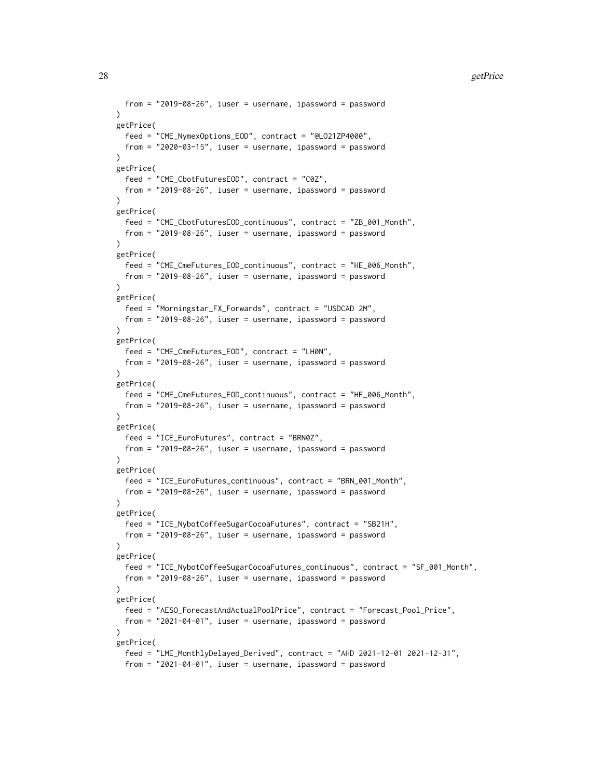```
from = "2019-08-26", iuser = username, ipassword = password
)
getPrice(
  feed = "CME_NymexOptions_EOD", contract = "@LO21ZP4000",
  from = "2020-03-15", iuser = username, ipassword = password
\lambdagetPrice(
  feed = "CME_CbotFuturesEOD", contract = "C0Z",
  from = "2019-08-26", iuser = username, ipassword = password
\lambdagetPrice(
  feed = "CME_CbotFuturesEOD_continuous", contract = "ZB_001_Month",
  from = "2019-08-26", iuser = username, ipassword = password
\lambdagetPrice(
  feed = "CME_CmeFutures_EOD_continuous", contract = "HE_006_Month",
  from = "2019-08-26", iuser = username, ipassword = password
)
getPrice(
  feed = "Morningstar_FX_Forwards", contract = "USDCAD 2M",
  from = "2019-08-26", iuser = username, ipassword = password
\lambdagetPrice(
  feed = "CME_CmeFutures_EOD", contract = "LH0N",
  from = "2019-08-26", iuser = username, ipassword = password
)
getPrice(
  feed = "CME_CmeFutures_EOD_continuous", contract = "HE_006_Month",
  from = "2019-08-26", iuser = username, ipassword = password
\lambdagetPrice(
  feed = "ICE_EuroFutures", contract = "BRN0Z",
  from = "2019-08-26", iuser = username, ipassword = password
)
getPrice(
  feed = "ICE_EuroFutures_continuous", contract = "BRN_001_Month",
  from = "2019-08-26", iuser = username, ipassword = password
\lambdagetPrice(
  feed = "ICE_NybotCoffeeSugarCocoaFutures", contract = "SB21H",
  from = "2019-08-26", iuser = username, ipassword = password
)
getPrice(
  feed = "ICE_NybotCoffeeSugarCocoaFutures_continuous", contract = "SF_001_Month",
  from = "2019-08-26", iuser = username, ipassword = password
)
getPrice(
  feed = "AESO_ForecastAndActualPoolPrice", contract = "Forecast_Pool_Price",
  from = "2021-04-01", iuser = username, ipassword = password
\lambdagetPrice(
  feed = "LME_MonthlyDelayed_Derived", contract = "AHD 2021-12-01 2021-12-31",
  from = "2021-04-01", iuser = username, ipassword = password
```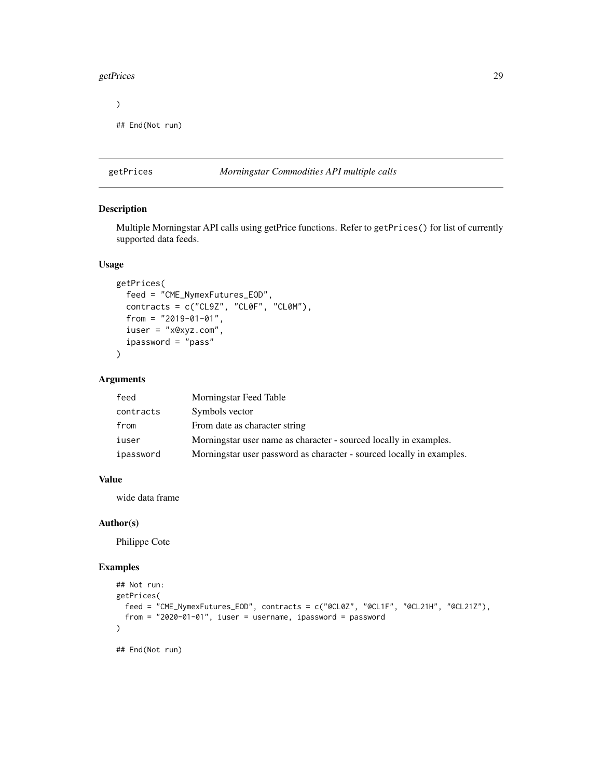#### <span id="page-28-0"></span>getPrices 29

```
)
## End(Not run)
```
## getPrices *Morningstar Commodities API multiple calls*

#### Description

Multiple Morningstar API calls using getPrice functions. Refer to getPrices() for list of currently supported data feeds.

## Usage

```
getPrices(
  feed = "CME_NymexFutures_EOD",
  contracts = c("CL9Z", "CL0F", "CL0M"),
  from = "2019-01-01",
  iuser = "x@xyz.com",
  ipassword = "pass"
)
```
#### Arguments

| feed      | Morningstar Feed Table                                                |
|-----------|-----------------------------------------------------------------------|
| contracts | Symbols vector                                                        |
| from      | From date as character string                                         |
| iuser     | Morningstar user name as character - sourced locally in examples.     |
| ipassword | Morningstar user password as character - sourced locally in examples. |

#### Value

wide data frame

#### Author(s)

Philippe Cote

## Examples

```
## Not run:
getPrices(
  feed = "CME_NymexFutures_EOD", contracts = c("@CL0Z", "@CL1F", "@CL21H", "@CL21Z"),
  from = "2020-01-01", iuser = username, ipassword = password
\mathcal{L}## End(Not run)
```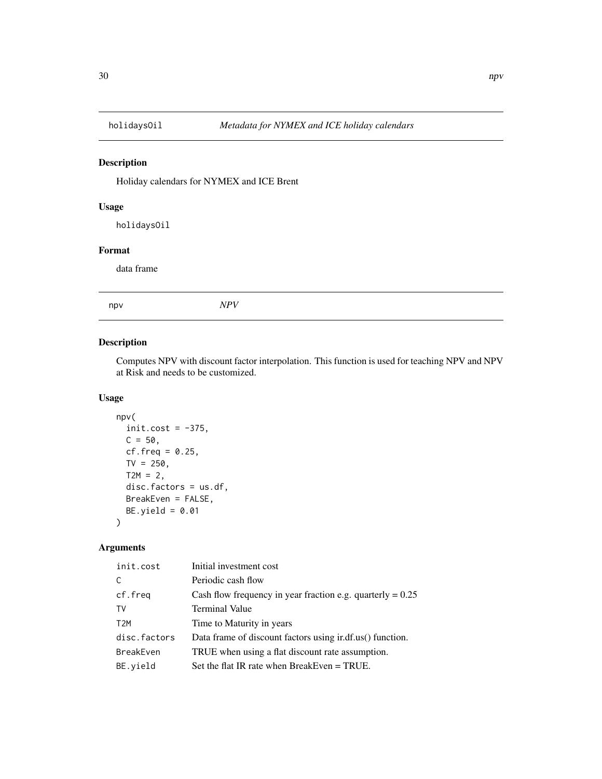<span id="page-29-0"></span>

Holiday calendars for NYMEX and ICE Brent

## Usage

holidaysOil

## Format

data frame

npv *NPV*

## Description

Computes NPV with discount factor interpolation. This function is used for teaching NPV and NPV at Risk and needs to be customized.

## Usage

```
npv(
  init.cost = -375,C = 50,cf. freq = 0.25,TV = 250,
 T2M = 2,
 disc.factors = us.df,
 BreakEven = FALSE,
 BE.yield = 0.01)
```
## Arguments

| init.cost        | Initial investment cost                                      |
|------------------|--------------------------------------------------------------|
| C                | Periodic cash flow                                           |
| cf.freq          | Cash flow frequency in year fraction e.g. quarterly $= 0.25$ |
| TV               | <b>Terminal Value</b>                                        |
| T <sub>2</sub> M | Time to Maturity in years                                    |
| disc.factors     | Data frame of discount factors using indefinition.           |
| <b>BreakEven</b> | TRUE when using a flat discount rate assumption.             |
| BE.yield         | Set the flat IR rate when BreakEven $=$ TRUE.                |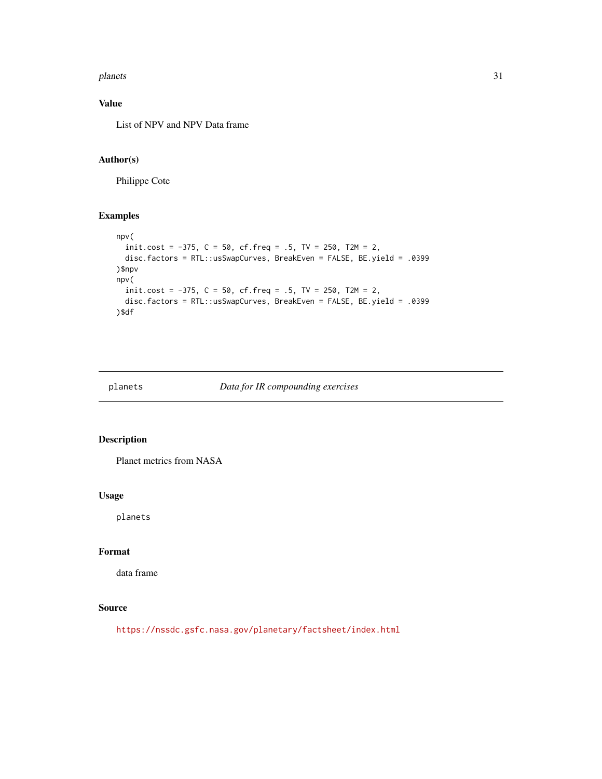#### <span id="page-30-0"></span>planets 31

## Value

List of NPV and NPV Data frame

## Author(s)

Philippe Cote

## Examples

```
npv(
  init.cost = -375, C = 50, cf. freq = .5, TV = 250, T2M = 2,
  disc.factors = RTL::usSwapCurves, BreakEven = FALSE, BE.yield = .0399
)$npv
npv(
  init.cost = -375, C = 50, cf.freq = .5, TV = 250, T2M = 2,
  disc.factors = RTL::usSwapCurves, BreakEven = FALSE, BE.yield = .0399
)$df
```
planets *Data for IR compounding exercises*

#### Description

Planet metrics from NASA

#### Usage

planets

## Format

data frame

## Source

<https://nssdc.gsfc.nasa.gov/planetary/factsheet/index.html>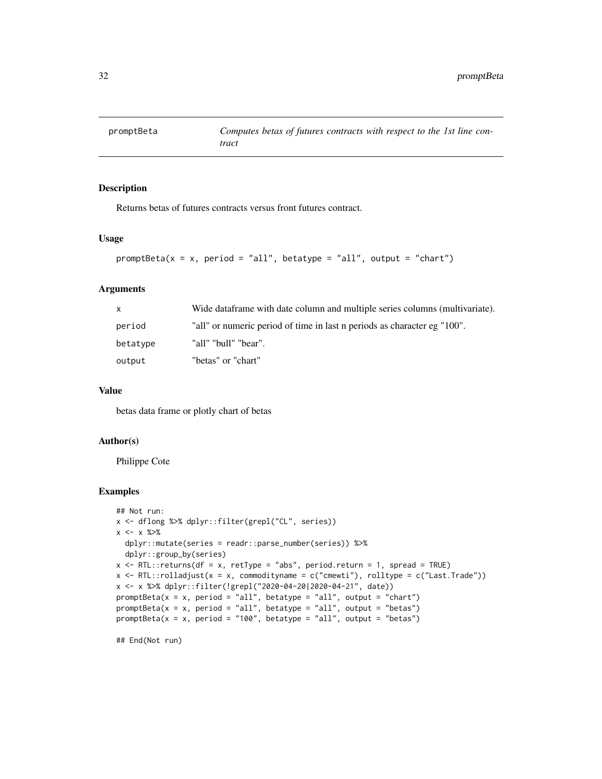<span id="page-31-0"></span>

Returns betas of futures contracts versus front futures contract.

## Usage

```
promptBeta(x = x, period = "all", betatype = "all", output = "chart")
```
## Arguments

|          | Wide dataframe with date column and multiple series columns (multivariate). |
|----------|-----------------------------------------------------------------------------|
| period   | "all" or numeric period of time in last n periods as character eg "100".    |
| betatype | "all" "bull" "bear".                                                        |
| output   | "betas" or "chart"                                                          |

#### Value

betas data frame or plotly chart of betas

#### Author(s)

Philippe Cote

#### Examples

```
## Not run:
x <- dflong %>% dplyr::filter(grepl("CL", series))
x \le - x \frac{9}{20}dplyr::mutate(series = readr::parse_number(series)) %>%
  dplyr::group_by(series)
x <- RTL::returns(df = x, retType = "abs", period.return = 1, spread = TRUE)
x \leftarrow RTL::rolladjust(x = x, commodityname = c("cmewti"), rolltype = c("Last.Trade"))x <- x %>% dplyr::filter(!grepl("2020-04-20|2020-04-21", date))
promptBeta(x = x, period = "all", betatype = "all", output = "chart")
promptBeta(x = x, period = "all", betatype = "all", output = "betas")
promptBeta(x = x, period = "100", betatype = "all", output = "betas")
```
## End(Not run)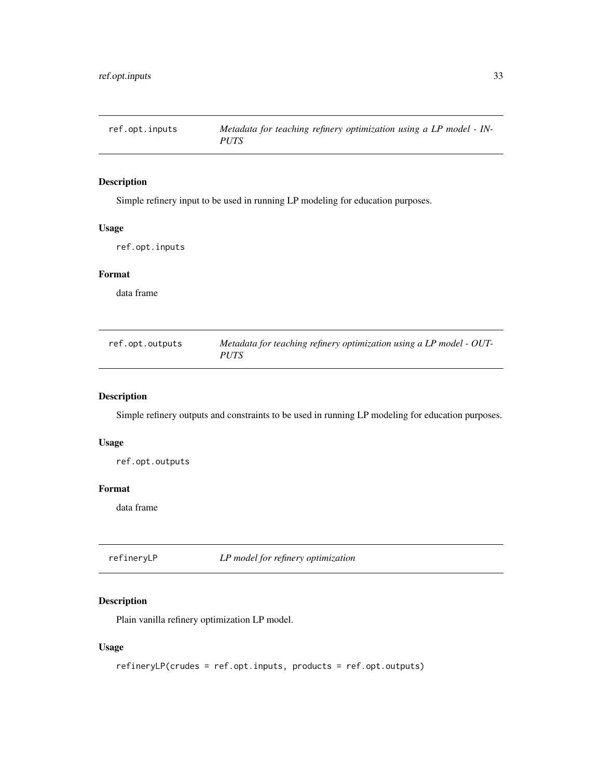<span id="page-32-0"></span>

Simple refinery input to be used in running LP modeling for education purposes.

#### Usage

ref.opt.inputs

## Format

data frame

| ref.opt.outputs | Metadata for teaching refinery optimization using a LP model - OUT- |
|-----------------|---------------------------------------------------------------------|
|                 | <b>PUTS</b>                                                         |

## Description

Simple refinery outputs and constraints to be used in running LP modeling for education purposes.

## Usage

ref.opt.outputs

#### Format

data frame

refineryLP *LP model for refinery optimization*

#### Description

Plain vanilla refinery optimization LP model.

## Usage

refineryLP(crudes = ref.opt.inputs, products = ref.opt.outputs)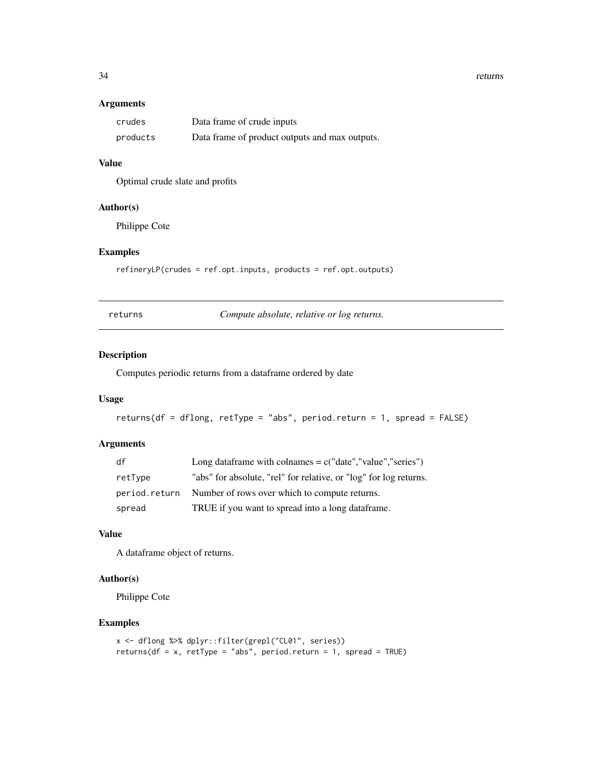#### <span id="page-33-0"></span>34 returns

#### Arguments

| crudes   | Data frame of crude inputs                     |
|----------|------------------------------------------------|
| products | Data frame of product outputs and max outputs. |

## Value

Optimal crude slate and profits

#### Author(s)

Philippe Cote

## Examples

refineryLP(crudes = ref.opt.inputs, products = ref.opt.outputs)

*Compute absolute, relative or log returns.* 

## Description

Computes periodic returns from a dataframe ordered by date

## Usage

```
returns(df = dflong, retType = "abs", period.return = 1, spread = FALSE)
```
## Arguments

| df            | Long dataframe with colnames $= c("date", "value", "series")$     |
|---------------|-------------------------------------------------------------------|
| retType       | "abs" for absolute, "rel" for relative, or "log" for log returns. |
| period.return | Number of rows over which to compute returns.                     |
| spread        | TRUE if you want to spread into a long dataframe.                 |

#### Value

A dataframe object of returns.

## Author(s)

Philippe Cote

## Examples

```
x <- dflong %>% dplyr::filter(grepl("CL01", series))
returns(df = x, retType = "abs", period.return = 1, spread = TRUE)
```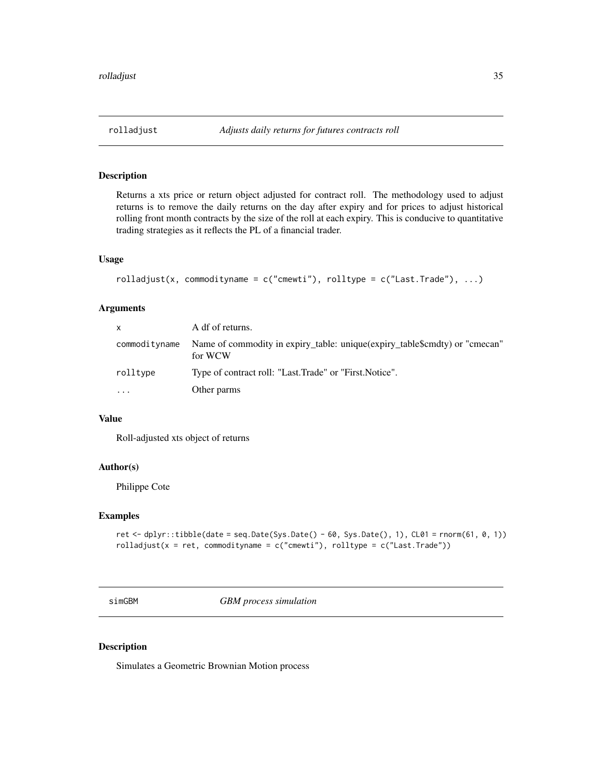<span id="page-34-0"></span>Returns a xts price or return object adjusted for contract roll. The methodology used to adjust returns is to remove the daily returns on the day after expiry and for prices to adjust historical rolling front month contracts by the size of the roll at each expiry. This is conducive to quantitative trading strategies as it reflects the PL of a financial trader.

## Usage

```
rolladjust(x, commodityname = c("cmewti"), rolltype = c("Last.Trade"), ...)
```
## Arguments

| <b>X</b>      | A df of returns.                                                                      |
|---------------|---------------------------------------------------------------------------------------|
| commodityname | Name of commodity in expiry_table: unique(expiry_table\$cmdty) or "cmecan"<br>for WCW |
| rolltype      | Type of contract roll: "Last.Trade" or "First.Notice".                                |
| .             | Other parms                                                                           |

#### Value

Roll-adjusted xts object of returns

#### Author(s)

Philippe Cote

#### Examples

```
ret <- dplyr::tibble(date = seq.Date(Sys.Date() - 60, Sys.Date(), 1), CL01 = rnorm(61, 0, 1))
rolladjust(x = ret, commodityname = c("cmewti"), rolltype = c("Last.Trade"))
```
simGBM *GBM process simulation*

#### Description

Simulates a Geometric Brownian Motion process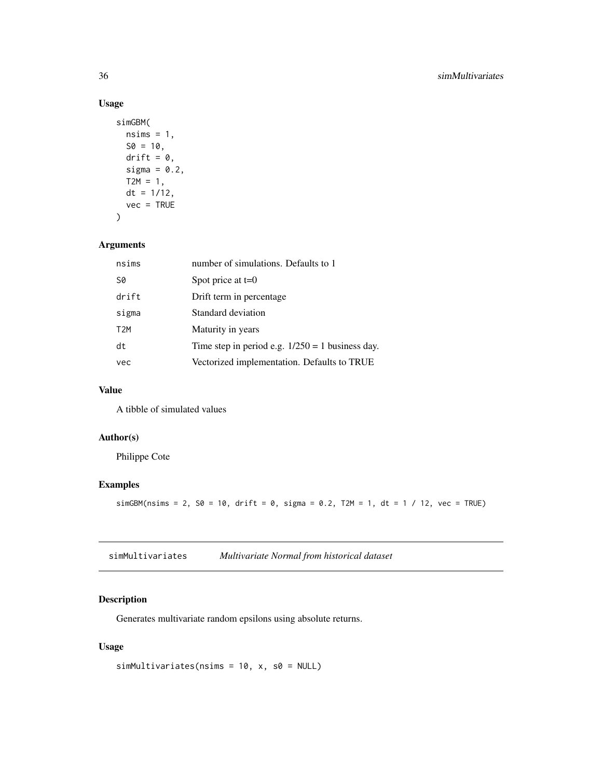## Usage

```
simGBM(
 nsims = 1,S0 = 10,
 drift = 0,
 sigma = 0.2,
 T2M = 1,
 dt = 1/12,
 vec = TRUE)
```
## Arguments

| nsims            | number of simulations. Defaults to 1               |
|------------------|----------------------------------------------------|
| S0               | Spot price at $t=0$                                |
| drift            | Drift term in percentage                           |
| sigma            | Standard deviation                                 |
| T <sub>2</sub> M | Maturity in years                                  |
| dt               | Time step in period e.g. $1/250 = 1$ business day. |
| vec              | Vectorized implementation. Defaults to TRUE        |

## Value

A tibble of simulated values

## Author(s)

Philippe Cote

## Examples

simGBM(nsims = 2, S0 = 10, drift = 0, sigma = 0.2, T2M = 1, dt = 1 / 12, vec = TRUE)

| simMultivariates | Multivariate Normal from historical dataset |
|------------------|---------------------------------------------|
|                  |                                             |

## Description

Generates multivariate random epsilons using absolute returns.

## Usage

 $simMultivariates(nsims = 10, x, s0 = NULL)$ 

<span id="page-35-0"></span>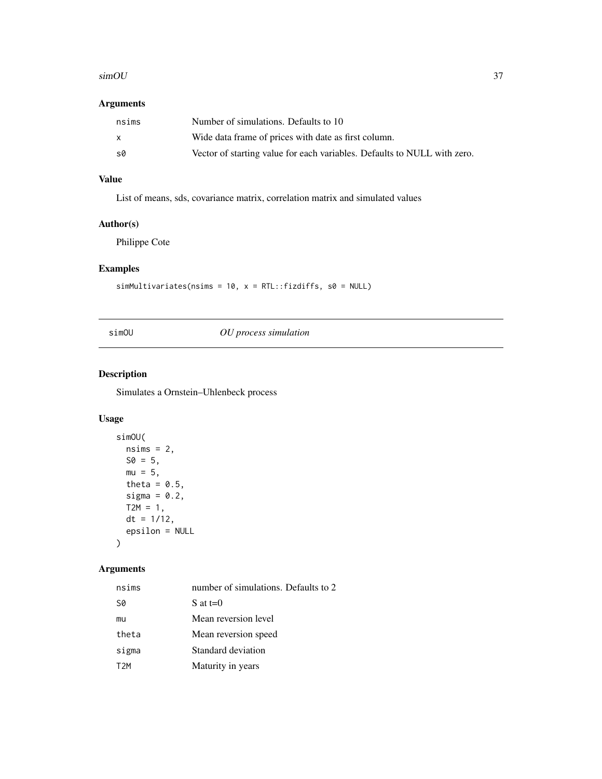#### <span id="page-36-0"></span> $\mathbf{s}$ imOU 37

## Arguments

| nsims        | Number of simulations. Defaults to 10                                    |
|--------------|--------------------------------------------------------------------------|
| $\mathsf{X}$ | Wide data frame of prices with date as first column.                     |
| .s0          | Vector of starting value for each variables. Defaults to NULL with zero. |

## Value

List of means, sds, covariance matrix, correlation matrix and simulated values

## Author(s)

Philippe Cote

## Examples

simMultivariates(nsims = 10,  $x = RTL::fizdiffs, s0 = NULL$ )

## simOU *OU process simulation*

## Description

Simulates a Ornstein–Uhlenbeck process

## Usage

```
simOU(
 nsims = 2,S0 = 5,
 mu = 5,
  theta = 0.5,
  sigma = 0.2,
 T2M = 1,
 dt = 1/12,
  epsilon = NULL
)
```
## Arguments

| nsims | number of simulations. Defaults to 2 |
|-------|--------------------------------------|
| S0    | S at $t=0$                           |
| mu    | Mean reversion level                 |
| theta | Mean reversion speed                 |
| sigma | Standard deviation                   |
| T2M   | Maturity in years                    |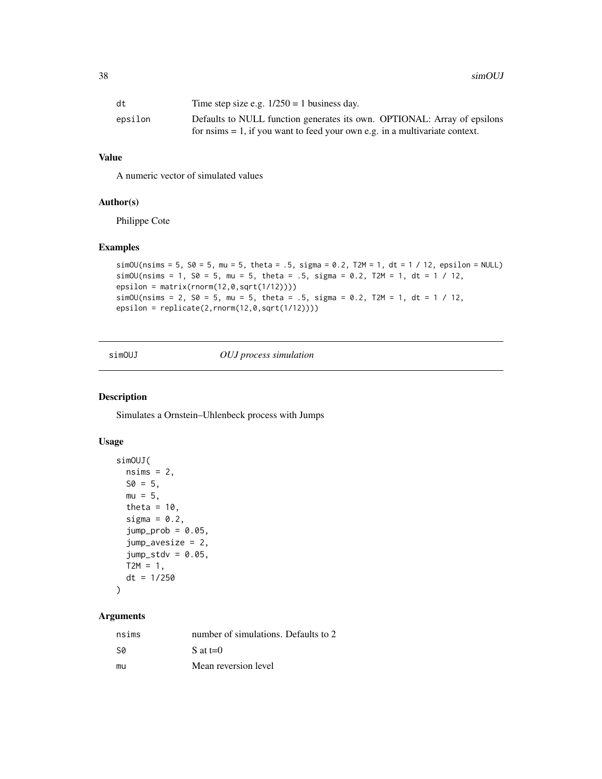<span id="page-37-0"></span>38 simOUJ

| dt      | Time step size e.g. $1/250 = 1$ business day.                                                                                                              |
|---------|------------------------------------------------------------------------------------------------------------------------------------------------------------|
| epsilon | Defaults to NULL function generates its own. OPTIONAL: Array of epsilons<br>for $nsims = 1$ , if you want to feed your own e.g. in a multivariate context. |

## Value

A numeric vector of simulated values

#### Author(s)

Philippe Cote

#### Examples

```
simOU(nsims = 5, S0 = 5, mu = 5, theta = .5, sigma = 0.2, T2M = 1, dt = 1 / 12, epsilon = NULL)
simOU(nsims = 1, S0 = 5, mu = 5, theta = .5, sigma = 0.2, T2M = 1, dt = 1 / 12,
epsilon = matrix(rnorm(12, 0, sqrt(1/12))))simOU(nsims = 2, S0 = 5, mu = 5, theta = .5, sigma = 0.2, T2M = 1, dt = 1 / 12,
epsilon = replicate(2,rnorm(12,0,sqrt(1/12))))
```
simOUJ *OUJ process simulation*

#### Description

Simulates a Ornstein–Uhlenbeck process with Jumps

#### Usage

```
simOUJ(
 nsims = 2,
 S0 = 5,
 mu = 5,
  theta = 10,
  sigma = 0.2,
  jump_prob = 0.05,jump_avesize = 2,
  jump\_stdv = 0.05,
 T2M = 1,
 dt = 1/250)
```
## Arguments

| nsims | number of simulations. Defaults to 2 |
|-------|--------------------------------------|
| .SØ   | S at $t=0$                           |
| mu    | Mean reversion level                 |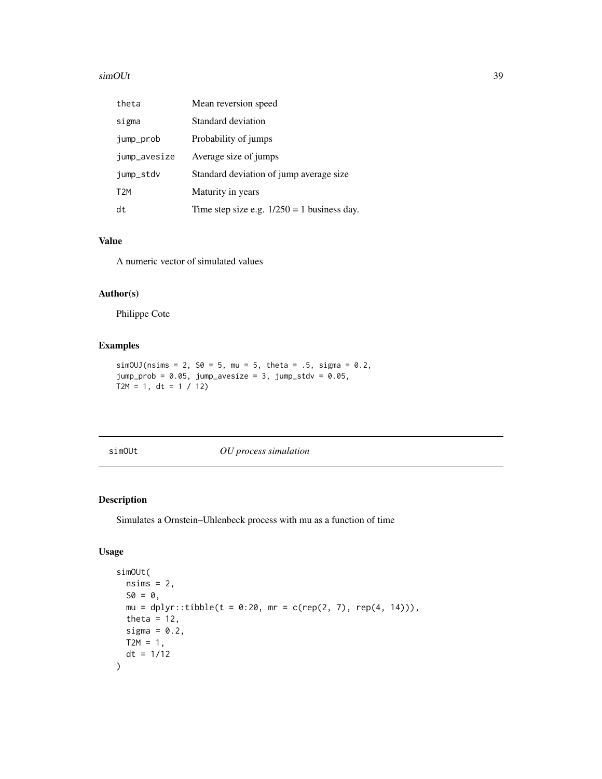#### <span id="page-38-0"></span> $\mathbf{s}$ imOUt 39

| theta            | Mean reversion speed                          |
|------------------|-----------------------------------------------|
| sigma            | Standard deviation                            |
| jump_prob        | Probability of jumps                          |
| jump_avesize     | Average size of jumps                         |
| jump_stdv        | Standard deviation of jump average size       |
| T <sub>2</sub> M | Maturity in years                             |
| dt               | Time step size e.g. $1/250 = 1$ business day. |

## Value

A numeric vector of simulated values

#### Author(s)

Philippe Cote

#### Examples

```
simOUJ(nsims = 2, S0 = 5, mu = 5, theta = .5, sigma = 0.2,
jump_prob = 0.05, jump_avesize = 3, jump_stdv = 0.05,
T2M = 1, dt = 1 / 12)
```
simOUt *OU process simulation*

## Description

Simulates a Ornstein–Uhlenbeck process with mu as a function of time

## Usage

```
simOUt(
 nsims = 2,SO = 0,mu = dplyr::tibble(t = 0:20, mr = c(rep(2, 7), rep(4, 14))),theta = 12,
 sigma = 0.2,
 T2M = 1,dt = 1/12)
```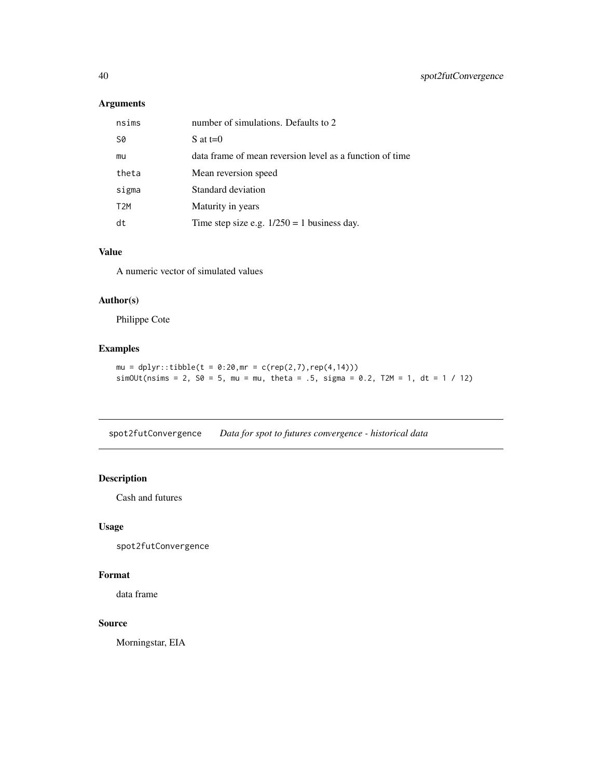## <span id="page-39-0"></span>Arguments

| nsims            | number of simulations. Defaults to 2                     |
|------------------|----------------------------------------------------------|
| S0               | S at $t=0$                                               |
| mu               | data frame of mean reversion level as a function of time |
| theta            | Mean reversion speed                                     |
| sigma            | Standard deviation                                       |
| T <sub>2</sub> M | Maturity in years                                        |
| dt               | Time step size e.g. $1/250 = 1$ business day.            |

#### Value

A numeric vector of simulated values

## Author(s)

Philippe Cote

## Examples

 $mu = dy + t$ :tibble(t = 0:20, mr = c(rep(2,7), rep(4,14)))  $simOUt(nsims = 2, 50 = 5, mu = mu, theta = .5, sigma = 0.2, T2M = 1, dt = 1 / 12)$ 

spot2futConvergence *Data for spot to futures convergence - historical data*

## Description

Cash and futures

## Usage

spot2futConvergence

## Format

data frame

#### Source

Morningstar, EIA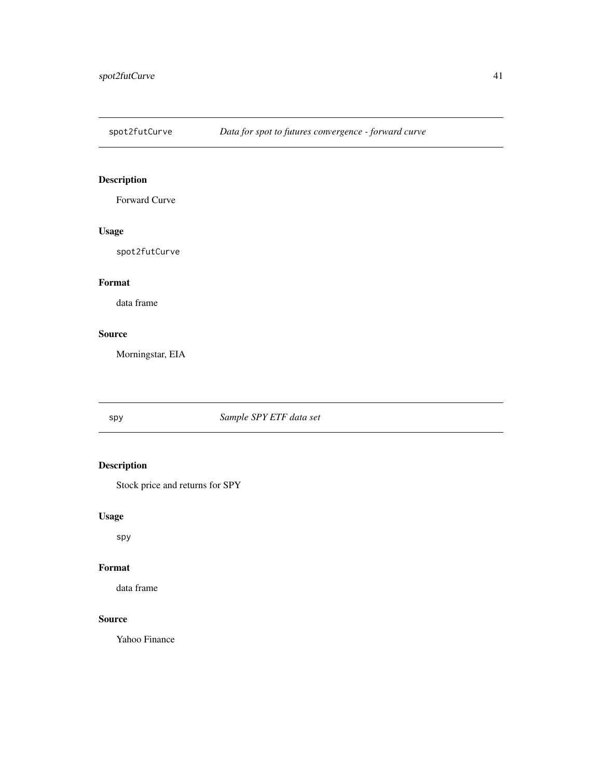<span id="page-40-0"></span>

Forward Curve

## Usage

spot2futCurve

## Format

data frame

## Source

Morningstar, EIA

## spy *Sample SPY ETF data set*

## Description

Stock price and returns for SPY

## Usage

spy

## Format

data frame

## Source

Yahoo Finance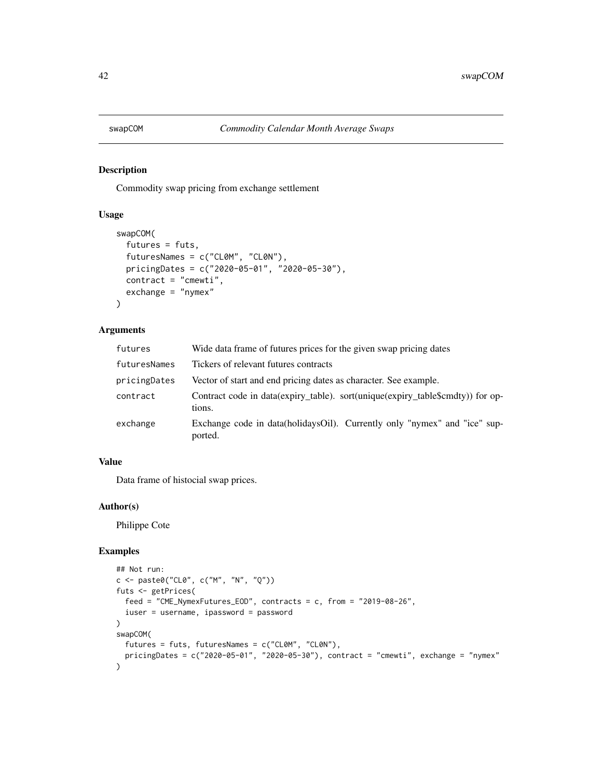<span id="page-41-0"></span>

Commodity swap pricing from exchange settlement

#### Usage

```
swapCOM(
  futures = futs,
  futuresNames = c("CL0M", "CL0N"),
 pricingDates = c("2020-05-01", "2020-05-30"),
  contract = "cmewti",
  exchange = "nymex"
)
```
## Arguments

| futures      | Wide data frame of futures prices for the given swap pricing dates                       |
|--------------|------------------------------------------------------------------------------------------|
| futuresNames | Tickers of relevant futures contracts                                                    |
| pricingDates | Vector of start and end pricing dates as character. See example.                         |
| contract     | Contract code in data(expiry_table). sort(unique(expiry_table\$cmdty)) for op-<br>tions. |
| exchange     | Exchange code in data(holidaysOil). Currently only "nymex" and "ice" sup-<br>ported.     |

## Value

Data frame of histocial swap prices.

#### Author(s)

Philippe Cote

## Examples

```
## Not run:
c <- paste0("CL0", c("M", "N", "Q"))
futs <- getPrices(
  feed = "CME_NymexFutures_EOD", contracts = c, from = "2019-08-26",
  iuser = username, ipassword = password
\mathcal{L}swapCOM(
  futures = futs, futuresNames = c("CL0M", "CL0N"),
  pricingDates = c("2020-05-01", "2020-05-30"), contract = "cmewti", exchange = "nymex"
\mathcal{L}
```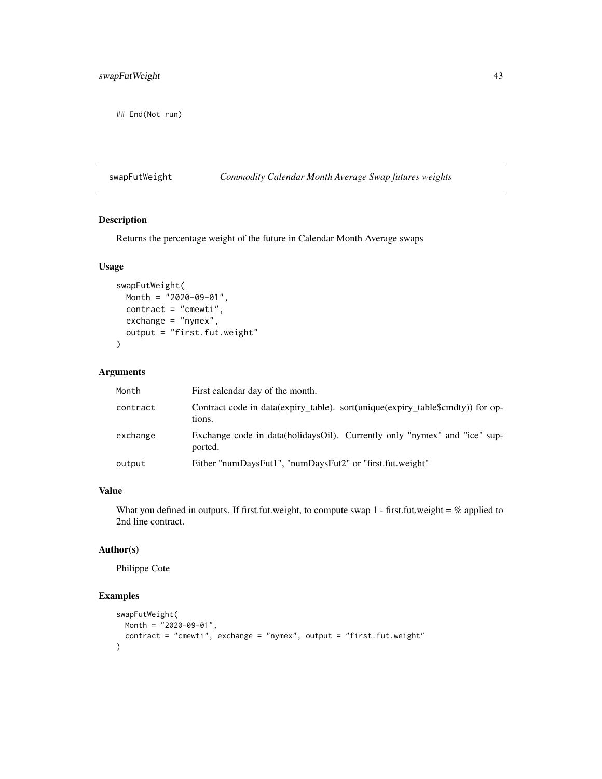<span id="page-42-0"></span>## End(Not run)

## swapFutWeight *Commodity Calendar Month Average Swap futures weights*

## Description

Returns the percentage weight of the future in Calendar Month Average swaps

#### Usage

```
swapFutWeight(
 Month = "2020-09-01",
 contract = "cmewti",
 exchange = "nymex",
 output = "first.fut.weight"
\mathcal{L}
```
## Arguments

| Month    | First calendar day of the month.                                                         |
|----------|------------------------------------------------------------------------------------------|
| contract | Contract code in data(expiry_table). sort(unique(expiry_table\$cmdty)) for op-<br>tions. |
| exchange | Exchange code in data(holidaysOil). Currently only "nymex" and "ice" sup-<br>ported.     |
| output   | Either "numDaysFut1", "numDaysFut2" or "first.fut.weight"                                |

#### Value

What you defined in outputs. If first.fut.weight, to compute swap  $1$  - first.fut.weight = % applied to 2nd line contract.

## Author(s)

Philippe Cote

## Examples

```
swapFutWeight(
 Month = "2020-09-01",
  contract = "cmewti", exchange = "nymex", output = "first.fut.weight"
\mathcal{L}
```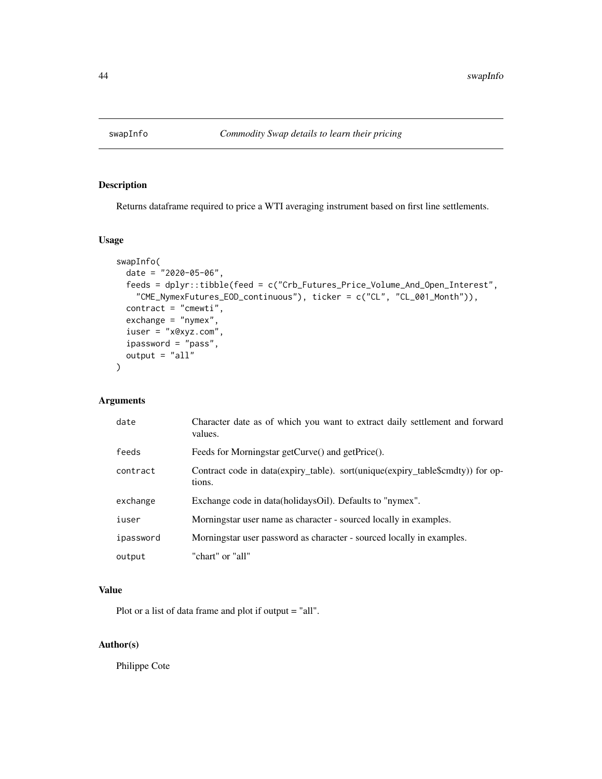<span id="page-43-0"></span>

Returns dataframe required to price a WTI averaging instrument based on first line settlements.

## Usage

```
swapInfo(
  date = "2020-05-06",
  feeds = dplyr::tibble(feed = c("Crb_Futures_Price_Volume_And_Open_Interest",
    "CME_NymexFutures_EOD_continuous"), ticker = c("CL", "CL_001_Month")),
  control = "cmewti",exchange = "nymex",
  iuser = "x@xyz.com",
  ipassword = "pass",
  output = "all"
\mathcal{E}
```
## Arguments

| date      | Character date as of which you want to extract daily settlement and forward<br>values.   |
|-----------|------------------------------------------------------------------------------------------|
| feeds     | Feeds for Morningstar getCurve() and getPrice().                                         |
| contract  | Contract code in data(expiry_table). sort(unique(expiry_table\$cmdty)) for op-<br>tions. |
| exchange  | Exchange code in data(holidaysOil). Defaults to "nymex".                                 |
| iuser     | Morningstar user name as character - sourced locally in examples.                        |
| ipassword | Morningstar user password as character - sourced locally in examples.                    |
| output    | "chart" or "all"                                                                         |

## Value

Plot or a list of data frame and plot if output = "all".

## Author(s)

Philippe Cote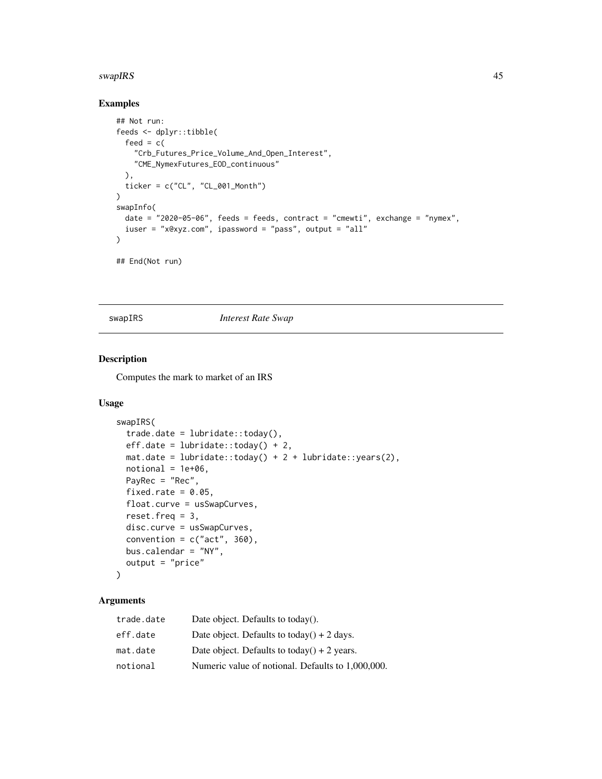#### <span id="page-44-0"></span>swapIRS 45

## Examples

```
## Not run:
feeds <- dplyr::tibble(
  feed = c("Crb_Futures_Price_Volume_And_Open_Interest",
    "CME_NymexFutures_EOD_continuous"
  ),
  ticker = c("CL", "CL_001_Month")
\mathcal{L}swapInfo(
  date = "2020-05-06", feeds = feeds, contract = "cmewti", exchange = "nymex",
  iuser = "x@xyz.com", ipassword = "pass", output = "all"
\mathcal{L}## End(Not run)
```
swapIRS *Interest Rate Swap*

## Description

Computes the mark to market of an IRS

## Usage

```
swapIRS(
 trade.data:today(),eff.date = lubridate::today() + 2,
 mat.data = lubridate::today() + 2 + lubridate::years(2),notional = 1e+06,
 PayRec = "Rec",
 fixed.rate = 0.05,
 float.curve = usSwapCurves,
 reset.freq = 3,
 disc.curve = usSwapCurves,
 convention = c("act", 360),
 bus.calendar = "NY",
 output = "price"
\mathcal{L}
```
## Arguments

| trade.date | Date object. Defaults to today().                 |
|------------|---------------------------------------------------|
| eff.date   | Date object. Defaults to today() + 2 days.        |
| mat.date   | Date object. Defaults to today() + 2 years.       |
| notional   | Numeric value of notional. Defaults to 1,000,000. |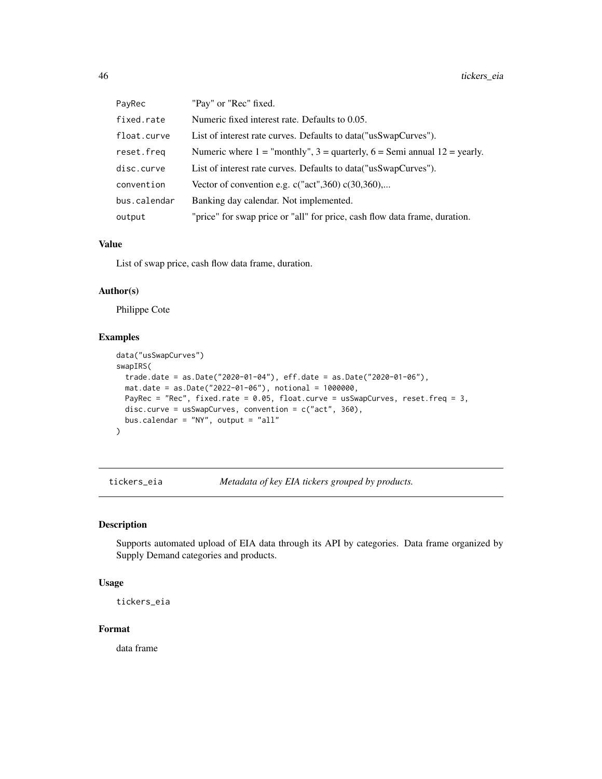<span id="page-45-0"></span>

| PayRec       | "Pay" or "Rec" fixed.                                                            |
|--------------|----------------------------------------------------------------------------------|
| fixed.rate   | Numeric fixed interest rate. Defaults to 0.05.                                   |
| float.curve  | List of interest rate curves. Defaults to data ("usSwapCurves").                 |
| reset.freq   | Numeric where $1 =$ "monthly", $3 =$ quarterly, $6 =$ Semi annual $12 =$ yearly. |
| disc.curve   | List of interest rate curves. Defaults to data ("usSwapCurves").                 |
| convention   | Vector of convention e.g. $c("act", 360) c(30,360)$                              |
| bus.calendar | Banking day calendar. Not implemented.                                           |
| output       | "price" for swap price or "all" for price, cash flow data frame, duration.       |

#### Value

List of swap price, cash flow data frame, duration.

#### Author(s)

Philippe Cote

#### Examples

```
data("usSwapCurves")
swapIRS(
 trade.date = as.Date("2020-01-04"), eff.date = as.Date("2020-01-06"),
 mat.date = as.Date("2022-01-06"), notional = 1000000,
 PayRec = "Rec", fixed.rate = 0.05, float.curve = usSwapCurves, reset.freq = 3,
 disc.curve = usSwapCurves, convention = c("act", 360),
 bus.calendar = "NY", output = "all"
)
```
tickers\_eia *Metadata of key EIA tickers grouped by products.*

## Description

Supports automated upload of EIA data through its API by categories. Data frame organized by Supply Demand categories and products.

#### Usage

tickers\_eia

## Format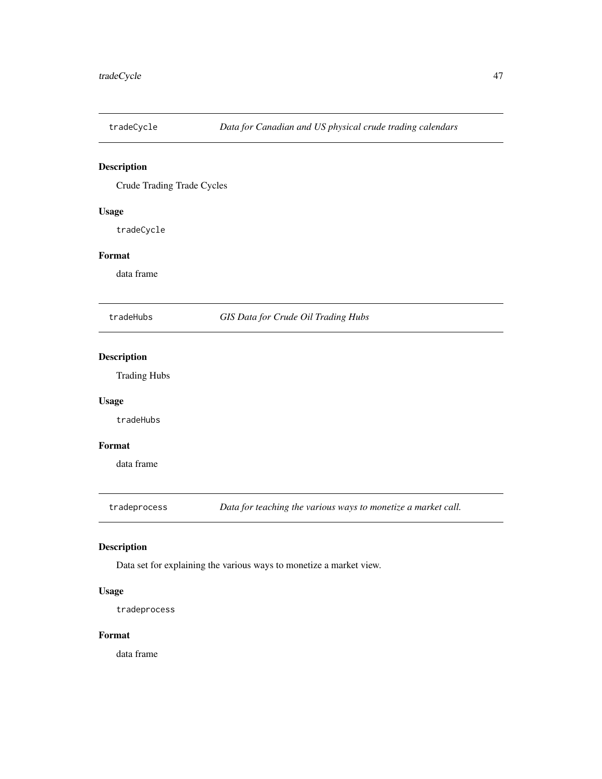<span id="page-46-0"></span>

Crude Trading Trade Cycles

## Usage

tradeCycle

## Format

data frame

tradeHubs *GIS Data for Crude Oil Trading Hubs*

## Description

Trading Hubs

#### Usage

tradeHubs

## Format

data frame

tradeprocess *Data for teaching the various ways to monetize a market call.*

## Description

Data set for explaining the various ways to monetize a market view.

#### Usage

tradeprocess

#### Format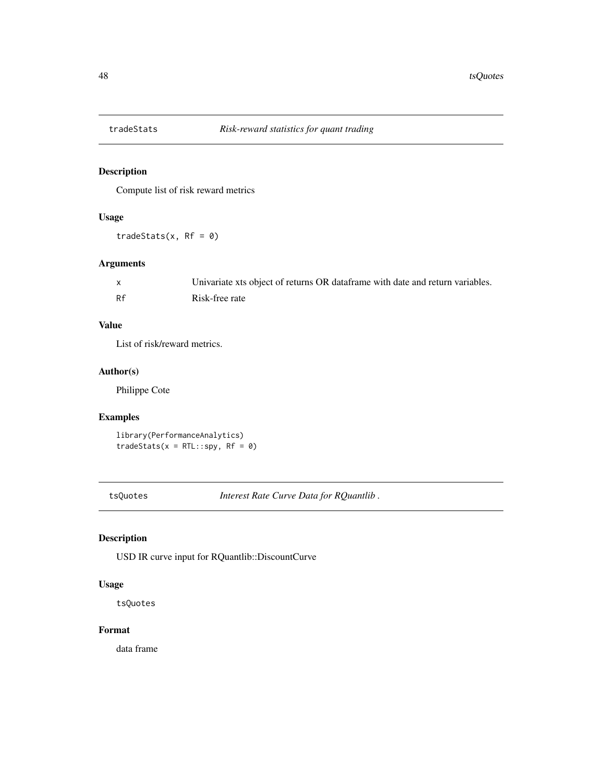<span id="page-47-0"></span>

Compute list of risk reward metrics

## Usage

 $tradestats(x, RF = 0)$ 

## Arguments

|    | Univariate xts object of returns OR dataframe with date and return variables. |
|----|-------------------------------------------------------------------------------|
| Rf | Risk-free rate                                                                |

## Value

List of risk/reward metrics.

## Author(s)

Philippe Cote

## Examples

library(PerformanceAnalytics)  $tradesats(x = RTL::spy, RF = 0)$ 

tsQuotes *Interest Rate Curve Data for RQuantlib .*

## Description

USD IR curve input for RQuantlib::DiscountCurve

## Usage

tsQuotes

## Format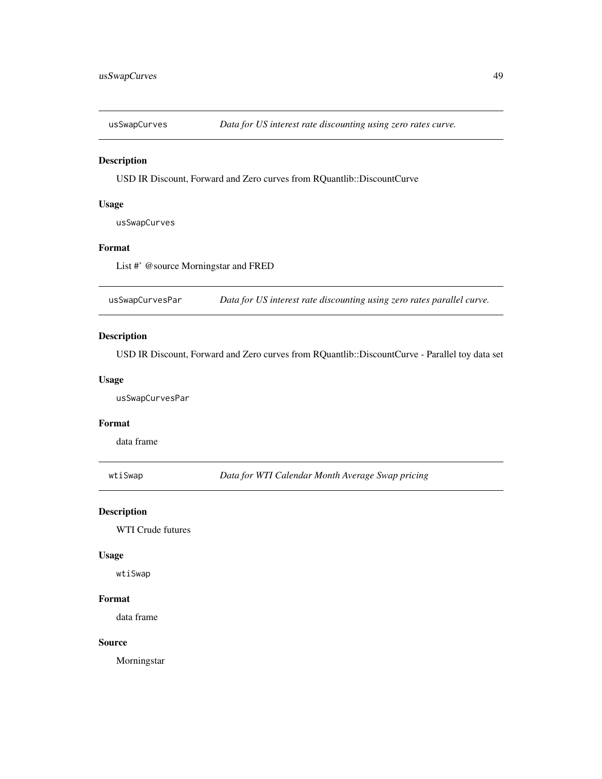<span id="page-48-0"></span>

USD IR Discount, Forward and Zero curves from RQuantlib::DiscountCurve

#### Usage

usSwapCurves

#### Format

List #' @source Morningstar and FRED

usSwapCurvesPar *Data for US interest rate discounting using zero rates parallel curve.*

#### Description

USD IR Discount, Forward and Zero curves from RQuantlib::DiscountCurve - Parallel toy data set

## Usage

usSwapCurvesPar

#### Format

data frame

wtiSwap *Data for WTI Calendar Month Average Swap pricing*

## Description

WTI Crude futures

#### Usage

wtiSwap

#### Format

data frame

## Source

Morningstar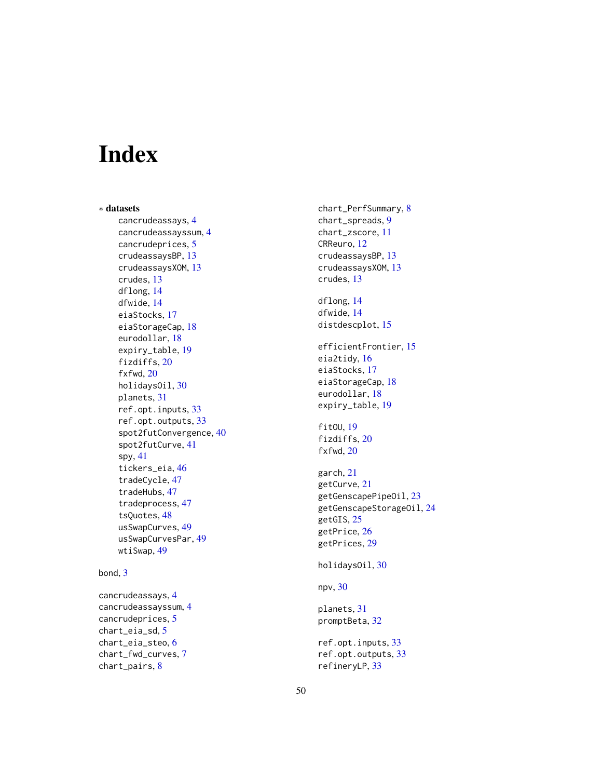# <span id="page-49-0"></span>Index

∗ datasets cancrudeassays , [4](#page-3-0) cancrudeassayssum , [4](#page-3-0) cancrudeprices , [5](#page-4-0) crudeassaysBP , [13](#page-12-0) crudeassaysXOM , [13](#page-12-0) crudes , [13](#page-12-0) dflong , [14](#page-13-0) dfwide , [14](#page-13-0) eiaStocks , [17](#page-16-0) eiaStorageCap , [18](#page-17-0) eurodollar , [18](#page-17-0) expiry\_table , [19](#page-18-0) fizdiffs, [20](#page-19-0) fxfwd , [20](#page-19-0) holidaysOil , [30](#page-29-0) planets , [31](#page-30-0) ref.opt.inputs , [33](#page-32-0) ref.opt.outputs , [33](#page-32-0) spot2futConvergence , [40](#page-39-0) spot2futCurve , [41](#page-40-0) spy , [41](#page-40-0) tickers\_eia , [46](#page-45-0) tradeCycle , [47](#page-46-0) tradeHubs , [47](#page-46-0) tradeprocess , [47](#page-46-0) tsQuotes , [48](#page-47-0) usSwapCurves, [49](#page-48-0) usSwapCurvesPar , [49](#page-48-0) wtiSwap , [49](#page-48-0)

#### bond , [3](#page-2-0)

cancrudeassays , [4](#page-3-0) cancrudeassayssum , [4](#page-3-0) cancrudeprices , [5](#page-4-0) chart\_eia\_sd , [5](#page-4-0) chart\_eia\_steo , [6](#page-5-0) chart\_fwd\_curves , [7](#page-6-0) chart\_pairs , [8](#page-7-0)

chart\_PerfSummary , [8](#page-7-0) chart\_spreads , [9](#page-8-0) chart\_zscore , [11](#page-10-0) CRReuro , [12](#page-11-0) crudeassaysBP , [13](#page-12-0) crudeassaysXOM , [13](#page-12-0) crudes , [13](#page-12-0) dflong , [14](#page-13-0) dfwide , [14](#page-13-0) distdescplot, [15](#page-14-0) efficientFrontier , [15](#page-14-0) eia2tidy , [16](#page-15-0) eiaStocks , [17](#page-16-0) eiaStorageCap, [18](#page-17-0) eurodollar , [18](#page-17-0) expiry\_table , [19](#page-18-0) fitOU, [19](#page-18-0) fizdiffs, [20](#page-19-0) fxfwd , [20](#page-19-0) garch , [21](#page-20-0) getCurve , [21](#page-20-0) getGenscapePipeOil , [23](#page-22-0) getGenscapeStorageOil , [24](#page-23-0) getGIS, [25](#page-24-0) getPrice , [26](#page-25-0) getPrices , [29](#page-28-0) holidaysOil, [30](#page-29-0) npv , [30](#page-29-0) planets , [31](#page-30-0) promptBeta , [32](#page-31-0) ref.opt.inputs , [33](#page-32-0) ref.opt.outputs , [33](#page-32-0) refineryLP , [33](#page-32-0)